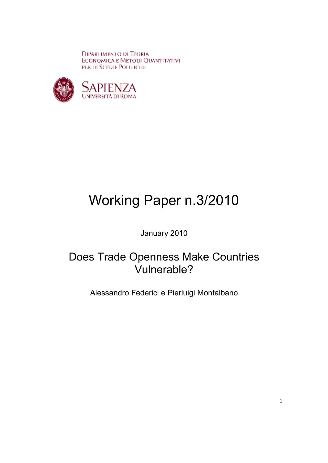**DIPARTIMENTO DI TEORIA ECONOMICA E METODI QUANTITATIVI** PER LE SCELLE POLITICITE.



# Working Paper n.3/2010

January 2010

# Does Trade Openness Make Countries Vulnerable?

Alessandro Federici e Pierluigi Montalbano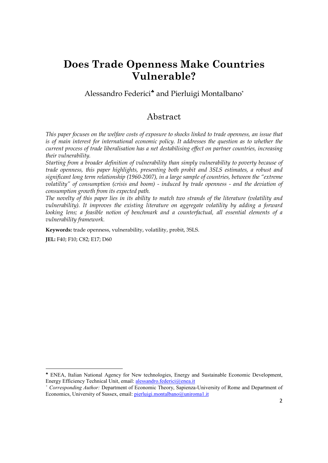# **Does Trade Openness Make Countries Vulnerable?**

## Alessandro Federici<sup>\*</sup> and Pierluigi Montalbano<sup>\*</sup>

### Abstract

*This paper focuses on the welfare costs of exposure to shocks linked to trade openness, an issue that is of main interest for international economic policy. It addresses the question as to whether the current process of trade liberalisation has a net destabilising effect on partner countries, increasing their vulnerability.* 

*Starting from a broader definition of vulnerability than simply vulnerability to poverty because of trade openness, this paper highlights, presenting both probit and 3SLS estimates, a robust and significant long term relationship (1960-2007), in a large sample of countries, between the "extreme volatility" of consumption (crisis and boom) - induced by trade openness - and the deviation of consumption growth from its expected path.* 

*The novelty of this paper lies in its ability to match two strands of the literature (volatility and vulnerability). It improves the existing literature on aggregate volatility by adding a forward looking lens; a feasible notion of benchmark and a counterfactual, all essential elements of a vulnerability framework.*

**Keywords:** trade openness, vulnerability, volatility, probit, 3SLS.

**JEL:** F40; F10; C82; E17; D60

<sup>♣</sup> ENEA, Italian National Agency for New technologies, Energy and Sustainable Economic Development, Energy Efficiency Technical Unit, email: alessandro.federici@enea.it

<sup>\*</sup> *Corresponding Author:* Department of Economic Theory, Sapienza-University of Rome and Department of Economics, University of Sussex, email: pierluigi.montalbano@uniroma1.it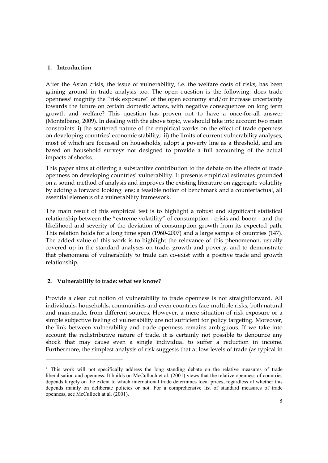#### **1. Introduction**

After the Asian crisis, the issue of vulnerability, i.e. the welfare costs of risks, has been gaining ground in trade analysis too. The open question is the following: does trade openness1 magnify the "risk exposure" of the open economy and/or increase uncertainty towards the future on certain domestic actors, with negative consequences on long term growth and welfare? This question has proven not to have a once-for-all answer (Montalbano, 2009). In dealing with the above topic, we should take into account two main constraints: i) the scattered nature of the empirical works on the effect of trade openness on developing countries' economic stability; ii) the limits of current vulnerability analyses, most of which are focussed on households, adopt a poverty line as a threshold, and are based on household surveys not designed to provide a full accounting of the actual impacts of shocks.

This paper aims at offering a substantive contribution to the debate on the effects of trade openness on developing countries' vulnerability. It presents empirical estimates grounded on a sound method of analysis and improves the existing literature on aggregate volatility by adding a forward looking lens; a feasible notion of benchmark and a counterfactual, all essential elements of a vulnerability framework.

The main result of this empirical test is to highlight a robust and significant statistical relationship between the "extreme volatility" of consumption - crisis and boom - and the likelihood and severity of the deviation of consumption growth from its expected path. This relation holds for a long time span (1960-2007) and a large sample of countries (147). The added value of this work is to highlight the relevance of this phenomenon, usually covered up in the standard analyses on trade, growth and poverty, and to demonstrate that phenomena of vulnerability to trade can co-exist with a positive trade and growth relationship.

#### **2. Vulnerability to trade: what we know?**

<u>.</u>

Provide a clear cut notion of vulnerability to trade openness is not straightforward. All individuals, households, communities and even countries face multiple risks, both natural and man-made, from different sources. However, a mere situation of risk exposure or a simple subjective feeling of vulnerability are not sufficient for policy targeting. Moreover, the link between vulnerability and trade openness remains ambiguous. If we take into account the redistributive nature of trade, it is certainly not possible to denounce any shock that may cause even a single individual to suffer a reduction in income. Furthermore, the simplest analysis of risk suggests that at low levels of trade (as typical in

<sup>&</sup>lt;sup>1</sup> This work will not specifically address the long standing debate on the relative measures of trade liberalisation and openness. It builds on McCulloch et al. (2001) views that the relative openness of countries depends largely on the extent to which international trade determines local prices, regardless of whether this depends mainly on deliberate policies or not. For a comprehensive list of standard measures of trade openness, see McCulloch at al. (2001).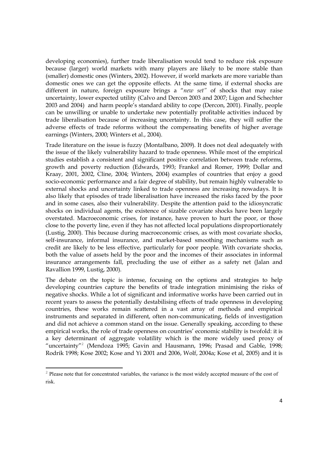developing economies), further trade liberalisation would tend to reduce risk exposure because (larger) world markets with many players are likely to be more stable than (smaller) domestic ones (Winters, 2002). However, if world markets are more variable than domestic ones we can get the opposite effects. At the same time, if external shocks are different in nature, foreign exposure brings a "*new set"* of shocks that may raise uncertainty, lower expected utility (Calvo and Dercon 2003 and 2007; Ligon and Schechter 2003 and 2004) and harm people's standard ability to cope (Dercon, 2001). Finally, people can be unwilling or unable to undertake new potentially profitable activities induced by trade liberalisation because of increasing uncertainty. In this case, they will suffer the adverse effects of trade reforms without the compensating benefits of higher average earnings (Winters, 2000; Winters et al., 2004).

Trade literature on the issue is fuzzy (Montalbano, 2009). It does not deal adequately with the issue of the likely vulnerability hazard to trade openness. While most of the empirical studies establish a consistent and significant positive correlation between trade reforms, growth and poverty reduction (Edwards, 1993; Frankel and Romer, 1999; Dollar and Kraay, 2001, 2002, Cline, 2004; Winters, 2004) examples of countries that enjoy a good socio-economic performance and a fair degree of stability, but remain highly vulnerable to external shocks and uncertainty linked to trade openness are increasing nowadays. It is also likely that episodes of trade liberalisation have increased the risks faced by the poor and in some cases, also their vulnerability. Despite the attention paid to the idiosyncratic shocks on individual agents, the existence of sizable covariate shocks have been largely overstated. Macroeconomic crises, for instance, have proven to hurt the poor, or those close to the poverty line, even if they has not affected local populations disproportionately (Lustig, 2000). This because during macroeconomic crises, as with most covariate shocks, self-insurance, informal insurance, and market-based smoothing mechanisms such as credit are likely to be less effective, particularly for poor people. With covariate shocks, both the value of assets held by the poor and the incomes of their associates in informal insurance arrangements fall, precluding the use of either as a safety net (Jalan and Ravallion 1999, Lustig, 2000).

The debate on the topic is intense, focusing on the options and strategies to help developing countries capture the benefits of trade integration minimising the risks of negative shocks. While a lot of significant and informative works have been carried out in recent years to assess the potentially destabilising effects of trade openness in developing countries, these works remain scattered in a vast array of methods and empirical instruments and separated in different, often non-communicating, fields of investigation and did not achieve a common stand on the issue. Generally speaking, according to these empirical works, the role of trade openness on countries' economic stability is twofold: it is a key determinant of aggregate volatility which is the more widely used proxy of "uncertainty"<sup>2</sup> (Mendoza 1995; Gavin and Hausmann, 1996; Prasad and Gable, 1998; Rodrik 1998; Kose 2002; Kose and Yi 2001 and 2006, Wolf, 2004a; Kose et al, 2005) and it is

<sup>&</sup>lt;sup>2</sup> Please note that for concentrated variables, the variance is the most widely accepted measure of the cost of risk.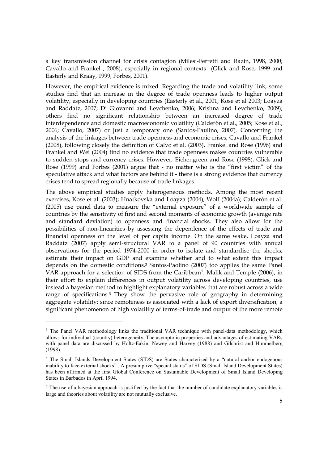a key transmission channel for crisis contagion (Milesi-Ferretti and Razin, 1998, 2000; Cavallo and Frankel , 2008), especially in regional contexts (Glick and Rose, 1999 and Easterly and Kraay, 1999; Forbes, 2001).

However, the empirical evidence is mixed. Regarding the trade and volatility link, some studies find that an increase in the degree of trade openness leads to higher output volatility, especially in developing countries (Easterly et al., 2001, Kose et al 2003; Loayza and Raddatz, 2007; Di Giovanni and Levchenko, 2006; Krishna and Levchenko, 2009); others find no significant relationship between an increased degree of trade interdependence and domestic macroeconomic volatility (Calderòn et al., 2005; Kose et al., 2006; Cavallo, 2007) or just a temporary one (Santos-Paulino, 2007). Concerning the analysis of the linkages between trade openness and economic crises, Cavallo and Frankel (2008), following closely the definition of Calvo et al. (2003), Frankel and Rose (1996) and Frankel and Wei (2004) find no evidence that trade openness makes countries vulnerable to sudden stops and currency crises. However, Eichengreen and Rose (1998), Glick and Rose (1999) and Forbes (2001) argue that - no matter who is the "first victim" of the speculative attack and what factors are behind it - there is a strong evidence that currency crises tend to spread regionally because of trade linkages.

The above empirical studies apply heterogeneous methods. Among the most recent exercises, Kose et al. (2003); Hnatkovska and Loayza (2004); Wolf (2004a); Calderòn et al. (2005) use panel data to measure the "external exposure" of a worldwide sample of countries by the sensitivity of first and second moments of economic growth (average rate and standard deviation) to openness and financial shocks. They also allow for the possibilities of non-linearities by assessing the dependence of the effects of trade and financial openness on the level of per capita income. On the same wake, Loayza and Raddatz (2007) apply semi-structural VAR to a panel of 90 countries with annual observations for the period 1974-2000 in order to isolate and standardise the shocks; estimate their impact on GDP and examine whether and to what extent this impact depends on the domestic conditions.3 Santos-Paolino (2007) too applies the same Panel VAR approach for a selection of SIDS from the Caribbean<sup>4</sup>. Malik and Temple (2006), in their effort to explain differences in output volatility across developing countries, use instead a bayesian method to highlight explanatory variables that are robust across a wide range of specifications.<sup>5</sup> They show the pervasive role of geography in determining aggregate volatility: since remoteness is associated with a lack of export diversification, a significant phenomenon of high volatility of terms-of-trade and output of the more remote

<sup>&</sup>lt;sup>3</sup> The Panel VAR methodology links the traditional VAR technique with panel-data methodology, which allows for individual (country) heterogeneity. The asymptotic properties and advantages of estimating VARs with panel data are discussed by Holtz-Eakin, Newey and Harvey (1988) and Gilchrist and Himmelberg (1998).

<sup>&</sup>lt;sup>4</sup> The Small Islands Development States (SIDS) are States characterised by a "natural and/or endogenous inability to face external shocks" . A presumptive "special status" of SIDS (Small Island Development States) has been affirmed at the first Global Conference on Sustainable Development of Small Island Developing States in Barbados in April 1994.

<sup>&</sup>lt;sup>5</sup> The use of a bayesian approach is justified by the fact that the number of candidate explanatory variables is large and theories about volatility are not mutually exclusive.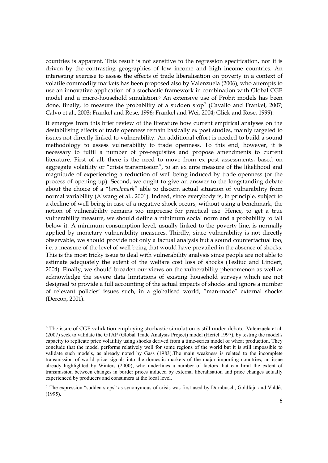countries is apparent. This result is not sensitive to the regression specification, nor it is driven by the contrasting geographies of low income and high income countries. An interesting exercise to assess the effects of trade liberalisation on poverty in a context of volatile commodity markets has been proposed also by Valenzuela (2006), who attempts to use an innovative application of a stochastic framework in combination with Global CGE model and a micro-household simulation.6 An extensive use of Probit models has been done, finally, to measure the probability of a sudden stop<sup>7</sup> (Cavallo and Frankel, 2007; Calvo et al., 2003; Frankel and Rose, 1996; Frankel and Wei, 2004; Glick and Rose, 1999).

It emerges from this brief review of the literature how current empirical analyses on the destabilising effects of trade openness remain basically ex post studies, mainly targeted to issues not directly linked to vulnerability. An additional effort is needed to build a sound methodology to assess vulnerability to trade openness. To this end, however, it is necessary to fulfil a number of pre-requisites and propose amendments to current literature. First of all, there is the need to move from ex post assessments, based on aggregate volatility or "crisis transmission", to an ex ante measure of the likelihood and magnitude of experiencing a reduction of well being induced by trade openness (or the process of opening up). Second, we ought to give an answer to the longstanding debate about the choice of a "*benchmark*" able to discern actual situation of vulnerability from normal variability (Alwang et al., 2001). Indeed, since everybody is, in principle, subject to a decline of well being in case of a negative shock occurs, without using a benchmark, the notion of vulnerability remains too imprecise for practical use. Hence, to get a true vulnerability measure, we should define a minimum social norm and a probability to fall below it. A minimum consumption level, usually linked to the poverty line, is normally applied by monetary vulnerability measures. Thirdly, since vulnerability is not directly observable, we should provide not only a factual analysis but a sound counterfactual too, i.e. a measure of the level of well being that would have prevailed in the absence of shocks. This is the most tricky issue to deal with vulnerability analysis since people are not able to estimate adequately the extent of the welfare cost loss of shocks (Tesliuc and Lindert, 2004). Finally, we should broaden our views on the vulnerability phenomenon as well as acknowledge the severe data limitations of existing household surveys which are not designed to provide a full accounting of the actual impacts of shocks and ignore a number of relevant policies' issues such, in a globalised world, "man-made" external shocks (Dercon, 2001).

 $6$  The issue of CGE validation emploving stochastic simulation is still under debate. Valenzuela et al. (2007) seek to validate the GTAP (Global Trade Analysis Project) model (Hertel 1997), by testing the model's capacity to replicate price volatility using shocks derived from a time-series model of wheat production. They conclude that the model performs relatively well for some regions of the world but it is still impossible to validate such models, as already noted by Gass (1983).The main weakness is related to the incomplete transmission of world price signals into the domestic markets of the major importing countries, an issue already highlighted by Winters (2000), who underlines a number of factors that can limit the extent of transmission between changes in border prices induced by external liberalisation and price changes actually experienced by producers and consumers at the local level.

<sup>&</sup>lt;sup>7</sup> The expression "sudden stops" as synonymous of crisis was first used by Dornbusch, Goldfajn and Valdés (1995).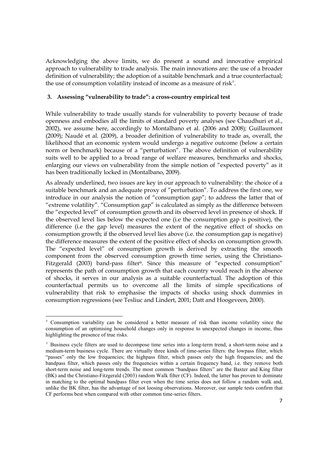Acknowledging the above limits, we do present a sound and innovative empirical approach to vulnerability to trade analysis. The main innovations are: the use of a broader definition of vulnerability; the adoption of a suitable benchmark and a true counterfactual; the use of consumption volatility instead of income as a measure of risk<sup>8</sup>.

#### **3. Assessing "vulnerability to trade": a cross-country empirical test**

While vulnerability to trade usually stands for vulnerability to poverty because of trade openness and embodies all the limits of standard poverty analyses (see Chaudhuri et al., 2002), we assume here, accordingly to Montalbano et al. (2006 and 2008); Guillaumont (2009); Naudé et al. (2009), a broader definition of vulnerability to trade as, overall, the likelihood that an economic system would undergo a negative outcome (below a certain norm or benchmark) because of a "perturbation". The above definition of vulnerability suits well to be applied to a broad range of welfare measures, benchmarks and shocks, enlarging our views on vulnerability from the simple notion of "expected poverty" as it has been traditionally locked in (Montalbano, 2009).

As already underlined, two issues are key in our approach to vulnerability: the choice of a suitable benchmark and an adequate proxy of "perturbation". To address the first one, we introduce in our analysis the notion of "consumption gap"; to address the latter that of "extreme volatility". "Consumption gap" is calculated as simply as the difference between the "expected level" of consumption growth and its observed level in presence of shock. If the observed level lies below the expected one (i.e the consumption gap is positive), the difference (i.e the gap level) measures the extent of the negative effect of shocks on consumption growth; if the observed level lies above (i.e. the consumption gap is negative) the difference measures the extent of the positive effect of shocks on consumption growth. The "expected level" of consumption growth is derived by extracting the smooth component from the observed consumption growth time series, using the Christiano-Fitzgerald (2003) band-pass filter<sup>9</sup>. Since this measure of "expected consumption" represents the path of consumption growth that each country would reach in the absence of shocks, it serves in our analysis as a suitable counterfactual. The adoption of this counterfactual permits us to overcome all the limits of simple specifications of vulnerability that risk to emphasise the impacts of shocks using shock dummies in consumption regressions (see Tesliuc and Lindert, 2001; Datt and Hoogeveen, 2000).

<sup>&</sup>lt;sup>8</sup> Consumption variability can be considered a better measure of risk than income volatility since the consumption of an optimising household changes only in response to unexpected changes in income, thus highlighting the presence of true risks.

<sup>&</sup>lt;sup>9</sup> Business cycle filters are used to decompose time series into a long-term trend, a short-term noise and a medium-term business cycle. There are virtually three kinds of time-series filters: the lowpass filter, which "passes" only the low frequencies; the highpass filter, which passes only the high frequencies; and the bandpass filter, which passes only the frequencies within a certain frequency band, i.e. they remove both short-term noise and long-term trends. The most common "bandpass filters" are the Baxter and King filter (BK) and the Christiano-Fitzgerald (2003) random Walk filter (CF). Indeed, the latter has proven to dominate in matching to the optimal bandpass filter even when the time series does not follow a random walk and, unlike the BK filter, has the advantage of not loosing observations. Moreover, our sample tests confirm that CF performs best when compared with other common time-series filters.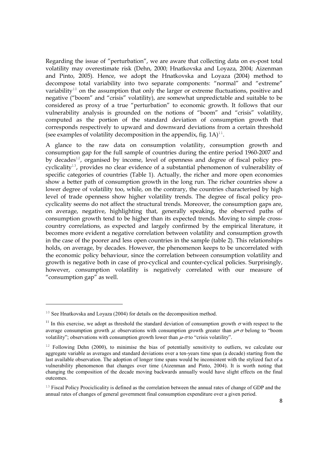Regarding the issue of "perturbation", we are aware that collecting data on ex-post total volatility may overestimate risk (Dehn, 2000; Hnatkovska and Loyaza, 2004; Aizenman and Pinto, 2005). Hence, we adopt the Hnatkovska and Loyaza (2004) method to decompose total variability into two separate components: "normal" and "extreme" variability<sup>10</sup> on the assumption that only the larger or extreme fluctuations, positive and negative ("boom" and "crisis" volatility), are somewhat unpredictable and suitable to be considered as proxy of a true "perturbation" to economic growth. It follows that our vulnerability analysis is grounded on the notions of "boom" and "crisis" volatility, computed as the portion of the standard deviation of consumption growth that corresponds respectively to upward and downward deviations from a certain threshold (see examples of volatility decomposition in the appendix, fig.  $1A$ )<sup>11</sup>.

A glance to the raw data on consumption volatility, consumption growth and consumption gap for the full sample of countries during the entire period 1960-2007 and by decades<sup>12</sup>, organised by income, level of openness and degree of fiscal policy procyclicality<sup>13</sup>, provides no clear evidence of a substantial phenomenon of vulnerability of specific categories of countries (Table 1). Actually, the richer and more open economies show a better path of consumption growth in the long run. The richer countries show a lower degree of volatility too, while, on the contrary, the countries characterised by high level of trade openness show higher volatility trends. The degree of fiscal policy procyclicality seems do not affect the structural trends. Moreover, the consumption gaps are, on average, negative, highlighting that, generally speaking, the observed paths of consumption growth tend to be higher than its expected trends. Moving to simple crosscountry correlations, as expected and largely confirmed by the empirical literature, it becomes more evident a negative correlation between volatility and consumption growth in the case of the poorer and less open countries in the sample (table 2). This relationships holds, on average, by decades. However, the phenomenon keeps to be uncorrelated with the economic policy behaviour, since the correlation between consumption volatility and growth is negative both in case of pro-cyclical and counter-cyclical policies. Surprisingly, however, consumption volatility is negatively correlated with our measure of "consumption gap" as well.

 $10$  See Hnatkovska and Lovaza (2004) for details on the decomposition method.

<sup>&</sup>lt;sup>11</sup> In this exercise, we adopt as threshold the standard deviation of consumption growth  $\sigma$  with respect to the average consumption growth  $\mu$ : observations with consumption growth greater than  $\mu + \sigma$  belong to "boom" volatility"; observations with consumption growth lower than  $\mu$ - $\sigma$  to "crisis volatility".

 $12$  Following Dehn (2000), to minimise the bias of potentially sensitivity to outliers, we calculate our aggregate variable as averages and standard deviations over a ten-years time span (a decade) starting from the last available observation. The adoption of longer time spans would be inconsistent with the stylized fact of a vulnerability phenomenon that changes over time (Aizenman and Pinto, 2004). It is worth noting that changing the composition of the decade moving backwards annually would have slight effects on the final outcomes.

<sup>&</sup>lt;sup>13</sup> Fiscal Policy Prociclicality is defined as the correlation between the annual rates of change of GDP and the annual rates of changes of general government final consumption expenditure over a given period.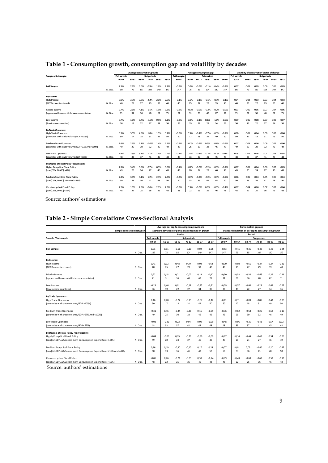| <b>Full sample</b><br><b>Subperiods</b><br><b>Full sample</b><br>Subperiods<br><b>Full sample</b><br><b>Subperiods</b><br>Sample / Subsample<br>60-07<br>78-87 88-97<br>60-07<br>68-77 78-87 88-97<br>60-67<br>68-77<br>98-07<br>60-67<br>68-77<br>78-87 88-97<br>98-07<br>60-07<br>60-67<br>98-07<br><b>Full Sample</b><br>2.3%<br>2.8%<br>3.0%<br>0.9%<br>1.6%<br>2.7%<br>$-0.2%$<br>$-0.3%$<br>$-0.1%$<br>$-0.2%$<br>0.07<br>005<br>0.05<br>0.06<br>0.06<br>0.05<br>0.0%<br>$-0.4%$<br>147<br>85<br>104<br>140<br>147<br>147<br>75<br>85<br>104<br>75<br>85<br>104<br>140<br>147<br>N. Obs<br>75<br>140<br>147<br>147<br>By Income:<br>3.0%<br>3.8%<br>2.0%<br>2.9%<br>$-0.1%$<br>0.02<br>00 <sup>3</sup><br>0.03<br>High Income<br>3.9%<br>2.3%<br>0.1%<br>$-0.1%$<br>$-0.1%$<br>$-0.1%$<br>$-0.1%$<br>0.04<br>0.03<br>0.04<br>39<br>27<br>39<br>40<br>40<br>25<br>27<br>29<br>40<br>40<br>25<br>27<br>29<br>39<br>25<br>29<br>(OECD countries+Israel)<br>N. Obs.<br>40<br>40<br>0.05<br>2.7%<br>2.6%<br>1.9%<br>$-0.2%$<br>$-0.5%$<br>$-0.3%$<br>$-0.2%$<br>$-0.2%$<br>0 <sub>0</sub><br>0.06<br>0.05<br>0.07<br>0.07<br>Middle Income<br>4.1%<br>1.1%<br>3.3%<br>$-0.1%$<br>36<br>67<br>67<br>(upper- and lower-middle income countries)<br>71<br>36<br>48<br>67<br>71<br>71<br>48<br>31<br>36<br>48<br>71<br>N. Obs.<br>31<br>31<br>71<br>71<br>0.5%<br>$-0.3%$<br>0.08<br>0.09<br>0.07<br>0.7%<br>1.6%<br>0.4%<br>$-1.0%$<br>0.0%<br>$-0.1%$<br>0.1%<br>$-1.0%$<br>$-0.2%$<br>nm<br>005<br>0.07<br>1.1%<br>Low Income<br>36<br>19<br>22<br>27<br>36<br>36<br>22<br>27<br>19<br>22<br>27<br>34<br>36<br>34<br>19<br>34<br>36<br>36<br>(low income countries)<br>N. Obs<br>By Trade Openness:<br>$-0.3%$<br>$-0.2%$<br>0.06<br><b>High Trade Openness</b><br>3.3%<br>3.5%<br>4.5%<br>1.8%<br>1.9%<br>3.7%<br>0.3%<br>$-0.4%$<br>$-0.7%$<br>$-0.3%$<br>008<br>0.05<br>0.04<br>0.08<br>0.08<br>50<br>(countries with trade volume/GDP >100%)<br>50<br>18<br>50<br>17<br>18<br>31<br>50<br>17<br>18<br>31<br>N. Obs.<br>17<br>31<br>49<br>50<br>49<br>50<br>49<br>Medium Trade Openness<br>0.06<br>1.6%<br>2.6%<br>2.1%<br>$-0.2%$<br>1.4%<br>2.1%<br>$-0.2%$<br>$-0.1%$<br>$-0.2%$<br>0.5%<br>$-0.6%$<br>$-0.2%$<br>007<br>0.05<br>0.06<br>0.06<br>0.07<br>(countries with trade volume/GDP >67% And <100%)<br>30<br>30<br>32<br>25<br>30<br>32<br>25<br>32<br>25<br>46<br>49<br>N. Obs.<br>49<br>46<br>49<br>49<br>46<br>49<br>49 |
|----------------------------------------------------------------------------------------------------------------------------------------------------------------------------------------------------------------------------------------------------------------------------------------------------------------------------------------------------------------------------------------------------------------------------------------------------------------------------------------------------------------------------------------------------------------------------------------------------------------------------------------------------------------------------------------------------------------------------------------------------------------------------------------------------------------------------------------------------------------------------------------------------------------------------------------------------------------------------------------------------------------------------------------------------------------------------------------------------------------------------------------------------------------------------------------------------------------------------------------------------------------------------------------------------------------------------------------------------------------------------------------------------------------------------------------------------------------------------------------------------------------------------------------------------------------------------------------------------------------------------------------------------------------------------------------------------------------------------------------------------------------------------------------------------------------------------------------------------------------------------------------------------------------------------------------------------------------------------------------------------------------------------------------------------------------------------------------------------------------------------------------------------------------------------------------------------------------------------------------------------------------------------------------------------------------------------------------------------------------------------------------------------------------------------------------|
|                                                                                                                                                                                                                                                                                                                                                                                                                                                                                                                                                                                                                                                                                                                                                                                                                                                                                                                                                                                                                                                                                                                                                                                                                                                                                                                                                                                                                                                                                                                                                                                                                                                                                                                                                                                                                                                                                                                                                                                                                                                                                                                                                                                                                                                                                                                                                                                                                                        |
|                                                                                                                                                                                                                                                                                                                                                                                                                                                                                                                                                                                                                                                                                                                                                                                                                                                                                                                                                                                                                                                                                                                                                                                                                                                                                                                                                                                                                                                                                                                                                                                                                                                                                                                                                                                                                                                                                                                                                                                                                                                                                                                                                                                                                                                                                                                                                                                                                                        |
|                                                                                                                                                                                                                                                                                                                                                                                                                                                                                                                                                                                                                                                                                                                                                                                                                                                                                                                                                                                                                                                                                                                                                                                                                                                                                                                                                                                                                                                                                                                                                                                                                                                                                                                                                                                                                                                                                                                                                                                                                                                                                                                                                                                                                                                                                                                                                                                                                                        |
|                                                                                                                                                                                                                                                                                                                                                                                                                                                                                                                                                                                                                                                                                                                                                                                                                                                                                                                                                                                                                                                                                                                                                                                                                                                                                                                                                                                                                                                                                                                                                                                                                                                                                                                                                                                                                                                                                                                                                                                                                                                                                                                                                                                                                                                                                                                                                                                                                                        |
|                                                                                                                                                                                                                                                                                                                                                                                                                                                                                                                                                                                                                                                                                                                                                                                                                                                                                                                                                                                                                                                                                                                                                                                                                                                                                                                                                                                                                                                                                                                                                                                                                                                                                                                                                                                                                                                                                                                                                                                                                                                                                                                                                                                                                                                                                                                                                                                                                                        |
|                                                                                                                                                                                                                                                                                                                                                                                                                                                                                                                                                                                                                                                                                                                                                                                                                                                                                                                                                                                                                                                                                                                                                                                                                                                                                                                                                                                                                                                                                                                                                                                                                                                                                                                                                                                                                                                                                                                                                                                                                                                                                                                                                                                                                                                                                                                                                                                                                                        |
|                                                                                                                                                                                                                                                                                                                                                                                                                                                                                                                                                                                                                                                                                                                                                                                                                                                                                                                                                                                                                                                                                                                                                                                                                                                                                                                                                                                                                                                                                                                                                                                                                                                                                                                                                                                                                                                                                                                                                                                                                                                                                                                                                                                                                                                                                                                                                                                                                                        |
|                                                                                                                                                                                                                                                                                                                                                                                                                                                                                                                                                                                                                                                                                                                                                                                                                                                                                                                                                                                                                                                                                                                                                                                                                                                                                                                                                                                                                                                                                                                                                                                                                                                                                                                                                                                                                                                                                                                                                                                                                                                                                                                                                                                                                                                                                                                                                                                                                                        |
|                                                                                                                                                                                                                                                                                                                                                                                                                                                                                                                                                                                                                                                                                                                                                                                                                                                                                                                                                                                                                                                                                                                                                                                                                                                                                                                                                                                                                                                                                                                                                                                                                                                                                                                                                                                                                                                                                                                                                                                                                                                                                                                                                                                                                                                                                                                                                                                                                                        |
|                                                                                                                                                                                                                                                                                                                                                                                                                                                                                                                                                                                                                                                                                                                                                                                                                                                                                                                                                                                                                                                                                                                                                                                                                                                                                                                                                                                                                                                                                                                                                                                                                                                                                                                                                                                                                                                                                                                                                                                                                                                                                                                                                                                                                                                                                                                                                                                                                                        |
|                                                                                                                                                                                                                                                                                                                                                                                                                                                                                                                                                                                                                                                                                                                                                                                                                                                                                                                                                                                                                                                                                                                                                                                                                                                                                                                                                                                                                                                                                                                                                                                                                                                                                                                                                                                                                                                                                                                                                                                                                                                                                                                                                                                                                                                                                                                                                                                                                                        |
|                                                                                                                                                                                                                                                                                                                                                                                                                                                                                                                                                                                                                                                                                                                                                                                                                                                                                                                                                                                                                                                                                                                                                                                                                                                                                                                                                                                                                                                                                                                                                                                                                                                                                                                                                                                                                                                                                                                                                                                                                                                                                                                                                                                                                                                                                                                                                                                                                                        |
|                                                                                                                                                                                                                                                                                                                                                                                                                                                                                                                                                                                                                                                                                                                                                                                                                                                                                                                                                                                                                                                                                                                                                                                                                                                                                                                                                                                                                                                                                                                                                                                                                                                                                                                                                                                                                                                                                                                                                                                                                                                                                                                                                                                                                                                                                                                                                                                                                                        |
|                                                                                                                                                                                                                                                                                                                                                                                                                                                                                                                                                                                                                                                                                                                                                                                                                                                                                                                                                                                                                                                                                                                                                                                                                                                                                                                                                                                                                                                                                                                                                                                                                                                                                                                                                                                                                                                                                                                                                                                                                                                                                                                                                                                                                                                                                                                                                                                                                                        |
|                                                                                                                                                                                                                                                                                                                                                                                                                                                                                                                                                                                                                                                                                                                                                                                                                                                                                                                                                                                                                                                                                                                                                                                                                                                                                                                                                                                                                                                                                                                                                                                                                                                                                                                                                                                                                                                                                                                                                                                                                                                                                                                                                                                                                                                                                                                                                                                                                                        |
|                                                                                                                                                                                                                                                                                                                                                                                                                                                                                                                                                                                                                                                                                                                                                                                                                                                                                                                                                                                                                                                                                                                                                                                                                                                                                                                                                                                                                                                                                                                                                                                                                                                                                                                                                                                                                                                                                                                                                                                                                                                                                                                                                                                                                                                                                                                                                                                                                                        |
|                                                                                                                                                                                                                                                                                                                                                                                                                                                                                                                                                                                                                                                                                                                                                                                                                                                                                                                                                                                                                                                                                                                                                                                                                                                                                                                                                                                                                                                                                                                                                                                                                                                                                                                                                                                                                                                                                                                                                                                                                                                                                                                                                                                                                                                                                                                                                                                                                                        |
|                                                                                                                                                                                                                                                                                                                                                                                                                                                                                                                                                                                                                                                                                                                                                                                                                                                                                                                                                                                                                                                                                                                                                                                                                                                                                                                                                                                                                                                                                                                                                                                                                                                                                                                                                                                                                                                                                                                                                                                                                                                                                                                                                                                                                                                                                                                                                                                                                                        |
|                                                                                                                                                                                                                                                                                                                                                                                                                                                                                                                                                                                                                                                                                                                                                                                                                                                                                                                                                                                                                                                                                                                                                                                                                                                                                                                                                                                                                                                                                                                                                                                                                                                                                                                                                                                                                                                                                                                                                                                                                                                                                                                                                                                                                                                                                                                                                                                                                                        |
|                                                                                                                                                                                                                                                                                                                                                                                                                                                                                                                                                                                                                                                                                                                                                                                                                                                                                                                                                                                                                                                                                                                                                                                                                                                                                                                                                                                                                                                                                                                                                                                                                                                                                                                                                                                                                                                                                                                                                                                                                                                                                                                                                                                                                                                                                                                                                                                                                                        |
|                                                                                                                                                                                                                                                                                                                                                                                                                                                                                                                                                                                                                                                                                                                                                                                                                                                                                                                                                                                                                                                                                                                                                                                                                                                                                                                                                                                                                                                                                                                                                                                                                                                                                                                                                                                                                                                                                                                                                                                                                                                                                                                                                                                                                                                                                                                                                                                                                                        |
| Low Trade Openness<br>1.9%<br>$-0.3%$<br>$-0.2%$<br>$-0.2%$<br>0.04<br>0.05<br>0.04<br>0.03<br>2.5%<br>3.1%<br>1.1%<br>1.4%<br>2.2%<br>$-0.1%$<br>0.0%<br>0.0%<br>0.05<br>0.04                                                                                                                                                                                                                                                                                                                                                                                                                                                                                                                                                                                                                                                                                                                                                                                                                                                                                                                                                                                                                                                                                                                                                                                                                                                                                                                                                                                                                                                                                                                                                                                                                                                                                                                                                                                                                                                                                                                                                                                                                                                                                                                                                                                                                                                         |
| 48<br>37<br>37<br>33<br>41<br>45<br>48<br>48<br>33<br>48<br>48<br>33<br>37<br>48<br>(countries with trade volume/GDP <67%)<br>N. Obs.<br>41<br>45<br>41<br>45                                                                                                                                                                                                                                                                                                                                                                                                                                                                                                                                                                                                                                                                                                                                                                                                                                                                                                                                                                                                                                                                                                                                                                                                                                                                                                                                                                                                                                                                                                                                                                                                                                                                                                                                                                                                                                                                                                                                                                                                                                                                                                                                                                                                                                                                          |
|                                                                                                                                                                                                                                                                                                                                                                                                                                                                                                                                                                                                                                                                                                                                                                                                                                                                                                                                                                                                                                                                                                                                                                                                                                                                                                                                                                                                                                                                                                                                                                                                                                                                                                                                                                                                                                                                                                                                                                                                                                                                                                                                                                                                                                                                                                                                                                                                                                        |
| By Degree of Fiscal Policy Procyclicality:                                                                                                                                                                                                                                                                                                                                                                                                                                                                                                                                                                                                                                                                                                                                                                                                                                                                                                                                                                                                                                                                                                                                                                                                                                                                                                                                                                                                                                                                                                                                                                                                                                                                                                                                                                                                                                                                                                                                                                                                                                                                                                                                                                                                                                                                                                                                                                                             |
| Highly Procyclical Fiscal Policy<br>0.05<br>2.3%<br>3.5%<br>0.7%<br>0.3%<br>3.5%<br>$-0.1%$<br>$-0.2%$<br>$-0.3%$<br>$-0.2%$<br>$-0.3%$<br>$-0.2%$<br>0.07<br>0.04<br>0.06<br>0.07<br>0.05<br>3.4%                                                                                                                                                                                                                                                                                                                                                                                                                                                                                                                                                                                                                                                                                                                                                                                                                                                                                                                                                                                                                                                                                                                                                                                                                                                                                                                                                                                                                                                                                                                                                                                                                                                                                                                                                                                                                                                                                                                                                                                                                                                                                                                                                                                                                                     |
| 49<br>(corr[D%Y, D%GC] >43%)<br>N. Obs<br>49<br>$\infty$<br>24<br>27<br>46<br>49<br>49<br>$\infty$<br>24<br>27<br>46<br>49<br>49<br>20<br>24<br>27<br>46                                                                                                                                                                                                                                                                                                                                                                                                                                                                                                                                                                                                                                                                                                                                                                                                                                                                                                                                                                                                                                                                                                                                                                                                                                                                                                                                                                                                                                                                                                                                                                                                                                                                                                                                                                                                                                                                                                                                                                                                                                                                                                                                                                                                                                                                               |
|                                                                                                                                                                                                                                                                                                                                                                                                                                                                                                                                                                                                                                                                                                                                                                                                                                                                                                                                                                                                                                                                                                                                                                                                                                                                                                                                                                                                                                                                                                                                                                                                                                                                                                                                                                                                                                                                                                                                                                                                                                                                                                                                                                                                                                                                                                                                                                                                                                        |
| 2.3%<br>1.2%<br>2.3%<br>2.3%<br>$-0.2%$<br>$-0.2%$<br>$-0.2%$<br>$-0.2%$<br>0.05<br>0.04<br>0.04<br>Medium Procyclical Fiscal Policy<br>3.0%<br>3.1%<br>$-0.1%$<br>$-0.1%$<br>0.06<br>0.05<br>0.06                                                                                                                                                                                                                                                                                                                                                                                                                                                                                                                                                                                                                                                                                                                                                                                                                                                                                                                                                                                                                                                                                                                                                                                                                                                                                                                                                                                                                                                                                                                                                                                                                                                                                                                                                                                                                                                                                                                                                                                                                                                                                                                                                                                                                                     |
| 50<br>36<br>50<br>36<br>33<br>36<br>48<br>50<br>(corr[D%Y, D%GC] 16%> And <43%)<br>33<br>48<br>50<br>33<br>48<br>50<br>50<br>N. Obs.<br>41<br>41<br>41                                                                                                                                                                                                                                                                                                                                                                                                                                                                                                                                                                                                                                                                                                                                                                                                                                                                                                                                                                                                                                                                                                                                                                                                                                                                                                                                                                                                                                                                                                                                                                                                                                                                                                                                                                                                                                                                                                                                                                                                                                                                                                                                                                                                                                                                                 |
| Counter-cyclical Fiscal Policy<br>2.2%<br>1.9%<br>2.5%<br>0.6%<br>2.1%<br>2.3%<br>$-0.3%$<br>0.3%<br>$-0.3%$<br>0.0%<br>$-0.7%$<br>$-0.1%$<br>0.07<br>0 <sub>0</sub><br>0.06<br>0.07<br>0.07<br>0.06                                                                                                                                                                                                                                                                                                                                                                                                                                                                                                                                                                                                                                                                                                                                                                                                                                                                                                                                                                                                                                                                                                                                                                                                                                                                                                                                                                                                                                                                                                                                                                                                                                                                                                                                                                                                                                                                                                                                                                                                                                                                                                                                                                                                                                   |
| 48<br>$\overline{22}$<br>25<br>48<br>48<br>22<br>25<br>48<br>48<br>22<br>25<br>36<br>46<br>48<br>(corr[D%Y, D%GC] <16%)<br>N. Obs.<br>36<br>46<br>36<br>46                                                                                                                                                                                                                                                                                                                                                                                                                                                                                                                                                                                                                                                                                                                                                                                                                                                                                                                                                                                                                                                                                                                                                                                                                                                                                                                                                                                                                                                                                                                                                                                                                                                                                                                                                                                                                                                                                                                                                                                                                                                                                                                                                                                                                                                                             |

**Table 1 - Consumption growth, consumption gap and volatility by decades** 

Source: authors' estimations

### **Table 2 - Simple Correlations Cross-Sectional Analysis**

|                                                                                    |                            |             |         | Average per capita consumption growth and           |            |         |         | Consumption gap and |         |                                                     |            |         |          |
|------------------------------------------------------------------------------------|----------------------------|-------------|---------|-----------------------------------------------------|------------|---------|---------|---------------------|---------|-----------------------------------------------------|------------|---------|----------|
|                                                                                    | Simple correlation between |             |         | Standard deviation of per capita consumption growth |            |         |         |                     |         | Standard deviation of per capita consumption growth |            |         |          |
|                                                                                    |                            |             |         | Period                                              |            |         |         |                     |         | Period                                              |            |         |          |
| Sample / Subsample                                                                 |                            | Full sample |         |                                                     | Subperiods |         |         | Full sample         |         |                                                     | Subperiods |         |          |
|                                                                                    |                            | 60-07       | 60-67   | 68-77                                               | 78-87      | 88-97   | 98-07   | 60-07               | 60-67   | 68-77                                               | 78-87      | 88-97   | 98-07    |
|                                                                                    |                            |             |         |                                                     |            |         |         |                     |         |                                                     |            |         |          |
| <b>Full Sample</b>                                                                 |                            | 0,01        | 0,11    | $-0,11$                                             | $-0,10$    | 0,02    | $-0,08$ | $-0,53$             | $-0,45$ | $-0,35$                                             | $-0,49$    | $-0,49$ | $-0,24$  |
|                                                                                    | N. Obs.                    | 147         | 75      | 85                                                  | 104        | 140     | 147     | 147                 | 75      | 85                                                  | 104        | 140     | 147      |
| By Income:                                                                         |                            |             |         |                                                     |            |         |         |                     |         |                                                     |            |         |          |
| High Income                                                                        |                            | 0,41        | 0,32    | 0,48                                                | 0,39       | 0,08    | 0,62    | $-0,30$             | $-0,02$ | $-0,61$                                             | $-0,37$    | $-0,27$ | $-0,36$  |
| (OECD countries+Israel)                                                            | N. Obs.                    | 40          | 25      | 27                                                  | 29         | 39      | 40      | 40                  | 25      | 27                                                  | 29         | 39      | 40       |
|                                                                                    |                            |             |         |                                                     |            |         |         |                     |         |                                                     |            |         |          |
| Middle Income                                                                      |                            | 0,22        | 0,18    | 0,21                                                | $-0,02$    | 0,19    | $-0,12$ | $-0,50$             | $-0,53$ | $-0,34$                                             | $-0,66$    | $-0,34$ | $-0, 14$ |
| (upper- and lower-middle income countries)                                         | N. Obs.                    | 71          | 31      | 36                                                  | 48         | 67      | 71      | 71                  | 31      | 36                                                  | 48         | 67      | 71       |
|                                                                                    |                            |             |         |                                                     |            |         |         |                     |         |                                                     |            |         |          |
| Low Income                                                                         |                            | $-0.25$     | 0.46    | 0.01                                                | $-0,11$    | $-0,25$ | $-0,21$ | $-0,59$             | $-0.57$ | $-0.60$                                             | $-0,29$    | $-0.69$ | $-0,27$  |
| (low income countries)                                                             | N. Obs.                    | 36          | 19      | 22                                                  | 27         | 34      | 36      | 36                  | 19      | 22                                                  | 27         | 34      | 36       |
| <b>By Trade Openness:</b>                                                          |                            |             |         |                                                     |            |         |         |                     |         |                                                     |            |         |          |
| <b>High Trade Openness</b>                                                         |                            | 0.16        | 0.28    | $-0.22$                                             | $-0,13$    | $-0,07$ | $-0,12$ | $-0.61$             | $-0.71$ | $-0.09$                                             | $-0,85$    | $-0.43$ | $-0,38$  |
| (countries with trade volume/GDP >100%)                                            | N. Obs.                    | 50          | 17      | 18                                                  | 31         | 49      | 50      | 50                  | 17      | 18                                                  | 31         | 49      | 50       |
|                                                                                    |                            |             |         |                                                     |            |         |         |                     |         |                                                     |            |         |          |
| <b>Medium Trade Openness</b>                                                       |                            | $-0,31$     | 0,46    | $-0,34$                                             | $-0,26$    | 0, 15   | $-0,09$ | $-0,36$             | $-0.62$ | $-0,58$                                             | $-0,25$    | $-0,58$ | $-0, 19$ |
| (countries with trade volume/GDP >67% And <100%)                                   | N. Obs.                    | 49          | 25      | 30                                                  | 32         | 46      | 49      | 49                  | 25      | 30                                                  | 32         | 46      | 49       |
|                                                                                    |                            |             |         |                                                     |            |         |         |                     |         |                                                     |            |         |          |
| Low Trade Openness                                                                 |                            | $-0,03$     | $-0,25$ | 0,22                                                | 0,04       | 0,00    | $-0,09$ | $-0,48$             | $-0,06$ | $-0,35$                                             | $-0,48$    | $-0,57$ | 0,12     |
| (countries with trade volume/GDP <67%)                                             | N. Obs.                    | 48          | 33      | 37                                                  | 41         | 45      | 48      | 48                  | 33      | 37                                                  | 41         | 45      | 48       |
| By Degree of Fiscal Policy Procyclicality:                                         |                            |             |         |                                                     |            |         |         |                     |         |                                                     |            |         |          |
| <b>Highly Procyclical Fiscal Policy</b>                                            |                            | $-0,04$     | $-0,06$ | 0,35                                                | $-0,23$    | $-0,30$ | $-0,09$ | $-0,07$             | $-0,14$ | $-0,44$                                             | $-0,42$    | $-0,54$ | $-0,26$  |
| (corr[A%GDP, A%Government Consumption Expenditure] >43%)                           | N. Obs.                    | 49          | 20      | 24                                                  | 27         | 46      | 49      | 49                  | 20      | 24                                                  | 27         | 46      | 49       |
|                                                                                    |                            |             |         |                                                     |            |         |         |                     |         |                                                     |            |         |          |
| Medium Procyclical Fiscal Policy                                                   |                            | 0,16        | 0, 19   | $-0,30$                                             | $-0,10$    | 0,17    | 0,24    | $-0,77$             | $-0,81$ | 0,03                                                | $-0,40$    | $-0,20$ | $-0,47$  |
| (corr[ $\Delta$ %GDP, $\Delta$ %Government Consumption Expenditure] >16% And <43%) | N. Obs.                    | 50          | 33      | 36                                                  | 41         | 48      | 50      | 50                  | 33      | 36                                                  | 41         | 48      | 50       |
|                                                                                    |                            |             |         |                                                     |            |         |         |                     |         |                                                     |            |         |          |
| Counter-cyclical Fiscal Policy                                                     |                            | $-0,06$     | 0,26    | $-0,21$                                             | $-0,03$    | 0,38    | $-0,24$ | $-0,79$             | $-0,49$ | $-0,68$                                             | $-0,63$    | $-0,59$ | $-0,13$  |
| (corr[Δ%GDP, Δ%Government Consumption Expenditure] <16%)                           | N. Obs.                    | 48          | 22      | 25                                                  | 36         | 46      | 48      | 48                  | 22      | 25                                                  | 36         | 46      | 48       |

Source: authors' estimations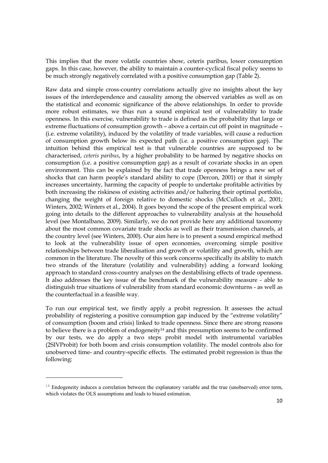This implies that the more volatile countries show, ceteris paribus, lower consumption gaps. In this case, however, the ability to maintain a counter-cyclical fiscal policy seems to be much strongly negatively correlated with a positive consumption gap (Table 2).

Raw data and simple cross-country correlations actually give no insights about the key issues of the interdependence and causality among the observed variables as well as on the statistical and economic significance of the above relationships. In order to provide more robust estimates, we thus run a sound empirical test of vulnerability to trade openness. In this exercise, vulnerability to trade is defined as the probability that large or extreme fluctuations of consumption growth – above a certain cut off point in magnitude – (i.e. extreme volatility), induced by the volatility of trade variables, will cause a reduction of consumption growth below its expected path (i.e. a positive consumption gap). The intuition behind this empirical test is that vulnerable countries are supposed to be characterised, *ceteris paribus*, by a higher probability to be harmed by negative shocks on consumption (i.e. a positive consumption gap) as a result of covariate shocks in an open environment. This can be explained by the fact that trade openness brings a new set of shocks that can harm people's standard ability to cope (Dercon, 2001) or that it simply increases uncertainty, harming the capacity of people to undertake profitable activities by both increasing the riskiness of existing activities and/or haltering their optimal portfolio, changing the weight of foreign relative to domestic shocks (McCulloch et al., 2001; Winters, 2002; Winters et al., 2004). It goes beyond the scope of the present empirical work going into details to the different approaches to vulnerability analysis at the household level (see Montalbano, 2009). Similarly, we do not provide here any additional taxonomy about the most common covariate trade shocks as well as their transmission channels, at the country level (see Winters, 2000). Our aim here is to present a sound empirical method to look at the vulnerability issue of open economies, overcoming simple positive relationships between trade liberalisation and growth or volatility and growth, which are common in the literature. The novelty of this work concerns specifically its ability to match two strands of the literature (volatility and vulnerability) adding a forward looking approach to standard cross-country analyses on the destabilising effects of trade openness. It also addresses the key issue of the benchmark of the vulnerability measure - able to distinguish true situations of vulnerability from standard economic downturns - as well as the counterfactual in a feasible way.

To run our empirical test, we firstly apply a probit regression. It assesses the actual probability of registering a positive consumption gap induced by the "extreme volatility" of consumption (boom and crisis) linked to trade openness. Since there are strong reasons to believe there is a problem of endogeneity<sup>14</sup> and this presumption seems to be confirmed by our tests, we do apply a two steps probit model with instrumental variables (2SIVProbit) for both boom and crisis consumption volatility. The model controls also for unobserved time- and country-specific effects. The estimated probit regression is thus the following:

<sup>&</sup>lt;sup>14</sup> Endogeneity induces a correlation between the explanatory variable and the true (unobserved) error term, which violates the OLS assumptions and leads to biased estimation.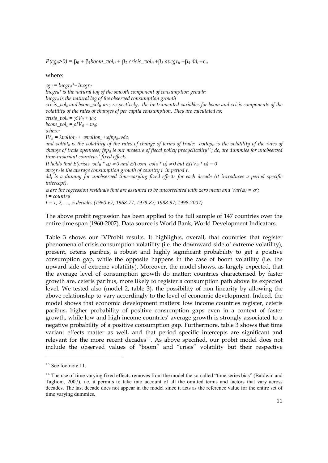$P(cg_{it} > 0) = \beta_0 + \beta_1 boom\_vol_{it} + \beta_2 crisis\_vol_{it} + \beta_3 avcgr_{it} + \beta_4 dd_i + \varepsilon_{it}$ 

#### where:

 $c g_{it} = ln c g r_{it}^* - ln c g r_{it}$ *lncgrit\* is the natural log of the smooth component of consumption growth lncgrit is the natural log of the observed consumption growth crisis\_volit and boom\_volit are, respectively, the instrumented variables for boom and crisis components of the volatility of the rates of changes of per capita consumption. They are calculated as: crisis*  $vol_{it} = \gamma V_{it} + u_{it}$ ; *boom\_vol*<sub>*it*</sub> =  $\rho IV_{it} + w_{it}$ *; where:*   $IV_{it} = \lambda voltot_{it} + wvolto_{it} + \omega f_{iv}$ *i* $t_{i} + \nu d_{ci}$ and voltot<sub>*it*</sub> is the volatility of the rates of change of terms of trade; voltop<sub>it</sub> is the volatility of the rates of *change of trade openness; fppit is our measure of fiscal policy procyclicality<sup>15</sup>; dci are dummies for unobserved time-invariant countries' fixed effects. It holds that E(crisis\_vol<sub>it</sub></sub> \**  $\varepsilon_i$ *)*  $\neq 0$  *and E(boom\_vol<sub>it</sub> \**  $\varepsilon_i$ *)*  $\neq 0$  *but E(IV<sub>it</sub> \**  $\varepsilon_i$ *) = 0 avcgrit is the average consumption growth of country i in period t. ddt is a dummy for unobserved time-varying fixed effects for each decade (it introduces a period specific intercept).* 

 $\varepsilon_i$  are the regression residuals that are assumed to be uncorrelated with zero mean and Var( $\varepsilon_i$ ) =  $\sigma^2$ ; *i = country*

*t = 1, 2, …, 5 decades (1960-67; 1968-77, 1978-87; 1988-97; 1998-2007)*

The above probit regression has been applied to the full sample of 147 countries over the entire time span (1960-2007). Data source is World Bank, World Development Indicators.

Table 3 shows our IVProbit results. It highlights, overall, that countries that register phenomena of crisis consumption volatility (i.e. the downward side of extreme volatility), present, ceteris paribus, a robust and highly significant probability to get a positive consumption gap, while the opposite happens in the case of boom volatility (i.e. the upward side of extreme volatility). Moreover, the model shows, as largely expected, that the average level of consumption growth do matter: countries characterised by faster growth are, ceteris paribus, more likely to register a consumption path above its expected level. We tested also (model 2, table 3), the possibility of non linearity by allowing the above relationship to vary accordingly to the level of economic development. Indeed, the model shows that economic development matters: low income countries register, ceteris paribus, higher probability of positive consumption gaps even in a context of faster growth, while low and high income countries' average growth is strongly associated to a negative probability of a positive consumption gap. Furthermore, table 3 shows that time variant effects matter as well, and that period specific intercepts are significant and relevant for the more recent decades<sup>16</sup>. As above specified, our probit model does not include the observed values of "boom" and "crisis" volatility but their respective

<sup>&</sup>lt;sup>15</sup> See footnote 11.

<sup>&</sup>lt;sup>16</sup> The use of time varying fixed effects removes from the model the so-called "time series bias" (Baldwin and Taglioni, 2007), i.e. it permits to take into account of all the omitted terms and factors that vary across decades. The last decade does not appear in the model since it acts as the reference value for the entire set of time varying dummies.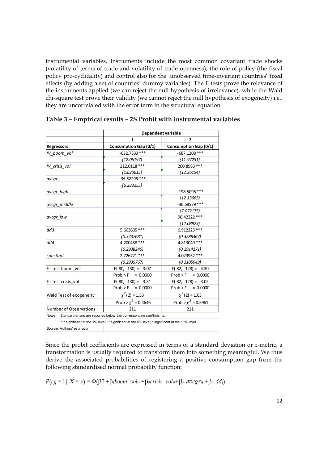instrumental variables. Instruments include the most common covariant trade shocks (volatility of terms of trade and volatility of trade openness); the role of policy (the fiscal policy pro-cyclicality) and control also for the unobserved time-invariant countries' fixed effects (by adding a set of countries' dummy variables). The F-tests prove the relevance of the instruments applied (we can reject the null hypothesis of irrelevance), while the Wald chi-square test prove their validity (we cannot reject the null hypothesis of exogeneity) i.e., they are uncorrelated with the error term in the structural equation.

|                             |                                                                                                  | Dependent variable       |
|-----------------------------|--------------------------------------------------------------------------------------------------|--------------------------|
|                             | 1                                                                                                | 2                        |
| <b>Regressors</b>           | Consumption Gap (0/1)                                                                            | Consumption Gap (0/1)    |
| IV boom vol                 | $-632.7339$ ***                                                                                  | $-687.1208$ ***          |
|                             | (12.06197)                                                                                       | (11.97231)               |
| IV crisis vol               | 212.0118 ***                                                                                     | 200.8983 ***             |
|                             | (13.20615)                                                                                       | (12.36154)               |
| avcar                       | $-35.52298$ ***                                                                                  |                          |
|                             | (6.233255)                                                                                       |                          |
| avcgr high                  |                                                                                                  | $-198.5096$ ***          |
|                             |                                                                                                  | (12.13665)               |
| avcgr middle                |                                                                                                  | $-36.68579$ ***          |
|                             |                                                                                                  | (7.072175)               |
| avcgr low                   |                                                                                                  | 90.42322 ***             |
|                             |                                                                                                  | (12.08923)               |
| dd3                         | 5.663635 ***                                                                                     | 6.912225 ***             |
|                             | (0.3237681)                                                                                      | (0.3288467)              |
| dd4                         | 4.200458 ***                                                                                     | 4.813049 ***             |
|                             | (0.2938246)                                                                                      | (0.2914171)              |
| constant                    | 2.726721 ***                                                                                     | 4.023952 ***             |
|                             | (0.2935767)                                                                                      | (0.3105949)              |
| F - test boom vol           | $F(80, 130) = 3.07$                                                                              | $F(82, 128) = 4.30$      |
|                             | $Prob > F = 0.0000$                                                                              | $Prob > F = 0.0000$      |
| F - test crisis vol         | $F(80, 130) = 3.31$                                                                              | $F(82, 128) = 3.02$      |
|                             | $Prob > F = 0.0000$                                                                              | $Prob > F = 0.0000$      |
| Wald Test of exogeneity     | $\chi^2$ (2) = 1.53                                                                              | $\chi^2(2) = 1.03$       |
|                             | Prob > $\chi^2$ = 0.4646                                                                         | Prob > $\chi^2$ = 0.5961 |
| Number of Observations      | 211                                                                                              | 211                      |
| Notes:                      | Standard errors are reported below the corresponding coefficients.                               |                          |
|                             | *** significant at the 1% level; ** significant at the 5% level; * significant at the 10% level. |                          |
| Source: Authors' estimation |                                                                                                  |                          |

| Table 3 - Empirical results - 2S Probit with instrumental variables |  |  |  |  |
|---------------------------------------------------------------------|--|--|--|--|
|---------------------------------------------------------------------|--|--|--|--|

Since the probit coefficients are expressed in terms of a standard deviation or *z*-metric, a transformation is usually required to transform them into something meaningful. We thus derive the associated probabilities of registering a positive consumption gap from the following standardised normal probability function:

 $P(cg = 1 | X = x) = \Phi(\beta 0 + \beta_1 boom\_vol_{it} + \beta_2 crisis\_vol_{it} + \beta_3 avogr_{it} + \beta_4 dd_i)$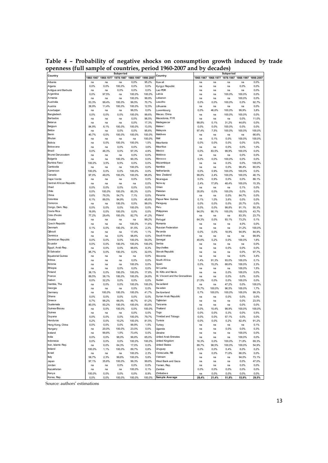|                           |            |            | <b>Subperiod</b> |                |              |                                |             |            | Subperiod   |              |                 |
|---------------------------|------------|------------|------------------|----------------|--------------|--------------------------------|-------------|------------|-------------|--------------|-----------------|
| Country                   | 1960-1967  | 1968-1977  | 1978-1987        | 1988-1997      | 1998-2007    | Country                        | 1960-1967   | 1968-1977  | 1978-1987   | 1988-1997    | 1998-2007       |
| Albania                   | na         | na         | na               | 0,0%           | 95,2%        | Kuw ait                        | na          | na         | na          | na           | 0,0%            |
| Algeria                   | 0,0%       | 0,0%       | 100,0%           | 0,0%           | 0,0%         | Kyrgyz Republic                | na          | na         | na          | 0,0%         | 0,0%            |
| Antigua and Barbuda       | na         | na         | 0,0%             | 0,0%           | 0,0%         | Lao PDR                        | na          | na         | na          | na           | 0,0%            |
| Argentina                 | 0,0%       | 97,5%      | na               | 100,0%         | 100,0%       | Latvia                         | na          | na         | 100,0%      | 100,0%       | 0,0%            |
| Armenia                   | na         | na         | na               | 100,0%         | 99,9%        | Lebanon                        | na          | na         | na          | 100,0%       | 0,0%            |
| Australia                 | 53,3%      | 99,4%      | 100,0%           | 99,5%          | 70,7%        | Lesotho                        | 0.0%        | 0,0%       | 100,0%      | 0,0%         | 92,7%           |
| Austria                   | 39,9%      | 11,4%      | 100,0%           | 100,0%         | 12,5%        | Lithuania                      | na          | na         | na          | na           | 0,0%            |
| Azerbaijan                | na         | na         | na               | 99,5%          | 0,0%         | Luxembourg                     | 0.0%        | 46,6%      | 100,0%      | 99,9%        | 3,8%            |
| Bangladesh                | 0.0%       | 0,0%       | 0.0%             | 100,0%         | 99,6%        | Macao, China                   | na          | na         | 100,0%      | 100,0%       | 0,0%            |
| Barbados                  | na         | na         | na               | 0,0%           | 98,5%        | Macedonia, FYR                 | na          | na         | na          | 0,0%         | 11,0%           |
| Belarus                   | na         | na         | na               | 0,0%           | 17,3%        | Madagascar                     | 99,8%       | 0,1%       | 31,2%       | 44,6%        | 0,0%            |
| Belgium                   | 84,9%      | 6,1%       | 100.0%           | 100,0%         | 13,5%        | Malaw i                        | 0,0%        | 0.0%       | 100,0%      | 0,0%         | 0,0%            |
| Belize                    | na         | na         | 0,0%             | 0,0%           | 95,6%        | Malaysia                       | 97,4%       | 7,5%       | 100,0%      | 100,0%       | 100,0%          |
| Benin                     | 40,7%      | 0,0%       | 100,0%           | 100,0%         | 100,0%       | Maldives                       | na          | na         | na          | na           | 66,6%           |
| Bhutan                    | na         | na         | na               | na             | 100,0%       | Mali                           | na          | 0,1%       | 0,0%        | 100,0%       | 100,0%          |
| Bolivia                   | na         | 0,0%       | 100,0%           | 100,0%         | 1,5%         | Mauritania                     | 0,0%        | 0,0%       | 0,0%        | 0,0%         | 0,0%            |
| Botsw ana                 | na         | na         | 0,0%             | 0,0%           | 3,6%         | Mauritius                      | na          | na         | 0,0%        | 0,0%         | 1,0%            |
| Brazil                    | 0.0%       | 46,3%      | 0,0%             | 97,3%          | 4,9%         | Mexico                         | 0,0%        | 83,5%      | 99,9%       | 100,0%       | 0,0%            |
| Brunei Darussalam         | na         | na         | na               | 0,0%           | 0,0%         | Moldova                        | na          | na         | na          | 0,0%         | 0,0%            |
| Bulgaria                  | na         | na         | 100,0%           | 90,3%          | 0,0%         | Morocco                        | 0.0%        | 0.0%       | 100,0%      | 0,0%         | 0,0%            |
| Burkina Faso              | 100,0%     | 3,5%       | 9,5%             | 0.0%           | 0,0%         | Mozambique                     | na          | na         | 0,0%        | 0,0%         | 100,0%          |
| Cambodia                  | na         | na         | na               | 100,0%         | 0,0%         | Namibia                        | na          | na         | 0,0%        | 98,4%        | 60,0%           |
| Cameroon                  | 100,0%     | 0,0%       | 0,0%             | 100,0%         | 0,0%         | Netherlands                    | 0,0%        | 0,9%       | 100,0%      | 100,0%       | 0,0%            |
| Canada                    | 97,0%      | 49,0%      | 100,0%           | 100,0%         | 95,8%        | New Zealand                    | 99,8%       | 2,4%       | 100,0%      | 100,0%       | 46,1%           |
| Cape Verde                | na         | na         | na               | 0,0%           | 0,0%         | Nicaragua                      | 0,0%        | 0,9%       | 0,0%        | 0,0%         | 88,1%           |
| Central African Republic  | na         | na         | na               | na             | 0,0%         | Norw ay                        | 2,4%        | 17,8%      | 48,4%       | 100,0%       | 15,3%           |
| Chad                      | 0,0%       | 0,0%       | 0,0%             | 0,0%           | 0,0%         | Oman                           | na          | na         | na          | 0,1%         | 0,0%            |
| Chile                     | 0,0%       | 100,0%     | 100,0%           | 85,3%          | 0,0%         | Pakistan                       | 35,8%       | 0,0%       | 100,0%      | 0,0%         | 0,0%            |
| China                     | 0,6%       | 79,3%      | 54,7%            | 7,1%           | 0,0%         | Panama                         | na          | na         | 0,0%        | 84,7%        | 0,0%            |
| Colombia                  | 6,1%       | 89,5%      | 94,9%            | 0,0%           | 45,6%        | Papua New Guinea               | 0,1%        | 1,0%       | 3,6%        | 0,0%         | 0,0%            |
| Comoros                   | na         | na         | 100.0%           | 0,0%           | 99,0%        | Paraguay                       | 0.0%        | 0.0%       | 0,0%        | 20,7%        | 0.0%            |
| Congo, Dem. Rep.          | 0,0%       | 0,0%       | 0,0%             | 100,0%         | 0,0%         | Peru                           | 0,0%        | 0,0%       | 99,8%       | 91,1%        | 50,3%           |
| Costa Rica                | 19,9%      | 0,0%       | 100,0%           | 0,0%           | 0,0%         | Philippines                    | 94,0%       | 90,1%      | 100,0%      | 100,0%       | 43,7%           |
| Cote d'Ivoire<br>Croatia  | 77,2%      | 29,4%      | 100,0%           | 82,7%          | 41,2%        | Poland<br>Portugal             | na          | na         | na          | 83,3%        | 23,7%           |
|                           | na         | na         | na               | na             | 99,2%        | Romania                        | 64,3%       | 0,0%       | 93,1%       | 73,2%        | 0,1%            |
| Czech Republic<br>Denmark | na         | na         | na               | 100,0%         | 11,6%        | Russian Federation             | na          | na         | na          | 4,0%         | 0,0%            |
| Djibouti                  | 0,1%       | 0,0%       | 100,0%           | 81,5%          | 2,3%<br>1,1% | Rw anda                        | na          | na<br>0,0% | na          | 31,2%        | 100,0%<br>84,9% |
| Dominica                  | na         | na         | na<br>0,0%       | 17,4%<br>98,8% | 0,0%         | Saudi Arabia                   | 0,0%        |            | 18,9%<br>na | 94,9%        | 99,9%           |
| Dominican Republic        | na<br>0,0% | na<br>0,0% | 0,0%             | 100,0%         | 54,0%        | Senegal                        | na<br>45,6% | na<br>0,2% | 0,0%        | na<br>100,0% | 1,6%            |
| Ecuador                   | 0.0%       | 0,0%       | 100,0%           | 100,0%         | 100,0%       | Serbia                         | na          | na         | na          | na           | 0.0%            |
| Egypt, Arab Rep.          | na         | 0,0%       | 0,0%             | 99,6%          | 8,3%         | Seychelles                     | na          | na         | 0,0%        | 0,0%         | 0,0%            |
| <b>E</b> Salvador         | 95,7%      | 0,0%       | 100,0%           | 0,0%           | 32,5%        | Slovak Republic                | na          | na         | na          | 0,0%         | 97,7%           |
| <b>Equatorial Guinea</b>  | na         | na         | na               | na             | 0,0%         | Slovenia                       | na          | na         | na          | 0,0%         | 3,4%            |
| Eritrea                   | na         | na         | na               | 0,0%           | 0,0%         | South Africa                   | 1,4%        | 91,3%      | 93,0%       | 100,0%       | 0,1%            |
| Estonia                   | na         | na         | na               | 100,0%         | 0,0%         | Spain                          | 0,0%        | 15,2%      | 68,6%       | 100,0%       | 2,3%            |
| Ethiopia                  | na         | na         | 0,0%             | 0,0%           | 0,0%         | Sri Lanka                      | na          | na         | na          | 100,0%       | 1,5%            |
| Finland                   | 36,1%      | 0.0%       | 100,0%           | 100,0%         | 17,8%        | St. Kitts and Nevis            | na          | na         | 0,0%        | 100,0%       | 0,0%            |
| France                    | 89,5%      | 38,1%      | 100,0%           | 100,0%         | 24,8%        | St. Vincent and the Grenadines | na          | na         | 0,0%        | 0,0%         | 0,0%            |
| Gabon                     | 0.0%       | 32,2%      | 0,0%             | 0,0%           | 0,0%         | Sudan                          | 21,5%       | 0.0%       | 0,0%        | 100,0%       | 0,0%            |
| Gambia, The               | na         | 0,0%       | 0,0%             | 100,0%         | 100,0%       | Sw aziland                     | na          | na         | 47,2%       | 0,0%         | 100,0%          |
| Georgia                   | na         | na         | na               | 0,0%           | 0,0%         | Sw eden                        | 70,7%       | 100,0%     | 96,5%       | 100,0%       | 1,7%            |
| Germany                   | na         | 100,0%     | 100,0%           | 100,0%         | 41,7%        | Sw itzerland                   | 0,7%        | 100,0%     | 100,0%      | 100,0%       | 99,3%           |
| Ghana                     | 0.0%       | 0,0%       | 0,0%             | 0,0%           | 0,0%         | Syrian Arab Republic           | na          | na         | 0,0%        | 0,0%         | 0,0%            |
| Greece                    | 0,7%       | 98,2%      | 66,0%            | 48,7%          | 61,2%        | Tajikistan                     | na          | na         | na          | 0,0%         | 23,5%           |
| Guatemala                 | 80,0%      | 50,2%      | 100,0%           | 100,0%         | 83,8%        | Tanzania                       | na          | na         | na          | 0,0%         | 0,0%            |
| Guinea-Bissau             | na         | 0,0%       | 100,0%           | 0,0%           | 100,0%       | Thailand                       | 0,0%        | 10,4%      | 99,9%       | 100,0%       | 100,0%          |
| Guinea                    | na         | na         | na               | 0,0%           | 0,0%         | Togo                           | 0,0%        | 0,0%       | 0,3%        | 0,0%         | 0,5%            |
| Guyana                    | 0,0%       | 0,0%       | 0,0%             | 100,0%         | 79,7%        | Trinidad and Tobago            | 0,0%        | 0,0%       | 57,1%       | 0,0%         | 0,0%            |
| Honduras                  | 0,2%       | 0,0%       | 10,2%            | 100,0%         | 81,5%        | Tunisia                        | 0,0%        | 0,0%       | 0,2%        | 62,4%        | 91,2%           |
| Hong Kong, China          | 0,0%       | 0,0%       | 0,0%             | 99,9%          | 1,5%         | Turkey                         | na          | na         | na          | na           | 0,1%            |
| Hungary                   | na         | 20,0%      | 100,0%           | 23,0%          | 0,0%         | Uganda                         | na          | na         | 0,0%        | 0,0%         | 0,3%            |
| Iceland                   | na         | 99,8%      | 1,5%             | 73,4%          | 0,0%         | Ukraine                        | na          | na         | na          | 100,0%       | 0,0%            |
| India                     | 0.0%       | 0.0%       | 98,0%            | 99,8%          | 65,0%        | United Arab Emirates           | na          | na         | na          | 100,0%       | 0,0%            |
| Indonesia                 | 0,0%       | 0,0%       | 0,0%             | 100,0%         | 100,0%       | United Kingdom                 | 16,3%       | 0,0%       | 100,0%      | 71,8%        | 69,3%           |
| Iran, Islamic Rep.        | na         | 0,0%       | 64,3%            | 17,0%          | 0,0%         | <b>United States</b>           | 89,7%       | 98,5%      | 100,0%      | 100,0%       | 54,9%           |
| Ireland                   | 100,0%     | 1,1%       | 100,0%           | 89,7%          | 0,8%         | Uruguay                        | 0,0%        | 0,0%       | 0,4%        | 6,0%         | 0,2%            |
| Israel                    | na         | na         | na               | 100,0%         | 2,3%         | Venezuela, RB                  | na          | 0,0%       | 71,6%       | 66,0%        | 0,0%            |
| Italy                     | 58,7%      | 2,3%       | 99,6%            | 100,0%         | 5,6%         | Vietnam                        | na          | na         | na          | 94,0%        | 73,1%           |
| Japan                     | 97,1%      | 35,6%      | 100,0%           | 99,3%          | 99,8%        | West Bank and Gaza             | na          | na         | na          | 0,0%         | 47,0%           |
| Jordan                    | na         | na         | 0,0%             | 0,0%           | 0,0%         | Yemen, Rep.                    | na          | na         | na          | 0,0%         | 0,0%            |
| Kazakhstan                | na         | na         | na               | 100,0%         | 0,1%         | Zambia                         | 0,0%        | 0,0%       | 0,0%        | 0,0%         | 0,0%            |
| Kenya                     | 100,0%     | 0,0%       | 0,0%             | 0,0%           | 8,9%         | Zimbabw e                      | na          | 0,0%       | 0,0%        | 0,0%         | 0,0%            |
| Korea, Rep                | 0,0%       | 0,0%       | 100,0%           | 100,0%         | 100,0%       | Sample Average                 | 28,4%       | 21,4%      | 51,8%       | 53,9%        | 29,5%           |

**Table 4 – Probability of negative shocks on consumption growth induced by trade openness (full sample of countries, period 1960-2007 and by decades)** 

Source: authors' estimations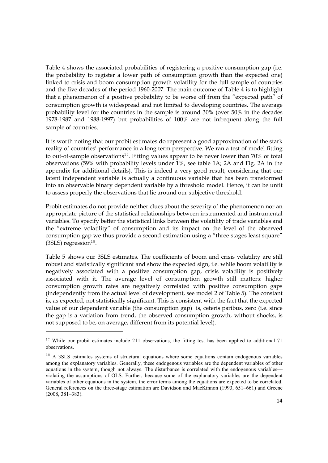Table 4 shows the associated probabilities of registering a positive consumption gap (i.e. the probability to register a lower path of consumption growth than the expected one) linked to crisis and boom consumption growth volatility for the full sample of countries and the five decades of the period 1960-2007. The main outcome of Table 4 is to highlight that a phenomenon of a positive probability to be worse off from the "expected path" of consumption growth is widespread and not limited to developing countries. The average probability level for the countries in the sample is around 30% (over 50% in the decades 1978-1987 and 1988-1997) but probabilities of 100% are not infrequent along the full sample of countries.

It is worth noting that our probit estimates do represent a good approximation of the stark reality of countries' performance in a long term perspective. We ran a test of model fitting to out-of-sample observations<sup>17</sup>. Fitting values appear to be never lower than 70% of total observations (59% with probability levels under 1%, see table 1A; 2A and Fig. 2A in the appendix for additional details). This is indeed a very good result, considering that our latent independent variable is actually a continuous variable that has been transformed into an observable binary dependent variable by a threshold model. Hence, it can be unfit to assess properly the observations that lie around our subjective threshold.

Probit estimates do not provide neither clues about the severity of the phenomenon nor an appropriate picture of the statistical relationships between instrumented and instrumental variables. To specify better the statistical links between the volatility of trade variables and the "extreme volatility" of consumption and its impact on the level of the observed consumption gap we thus provide a second estimation using a "three stages least square"  $(3SLS)$  regression<sup>18</sup>.

Table 5 shows our 3SLS estimates. The coefficients of boom and crisis volatility are still robust and statistically significant and show the expected sign, i.e. while boom volatility is negatively associated with a positive consumption gap, crisis volatility is positively associated with it. The average level of consumption growth still matters: higher consumption growth rates are negatively correlated with positive consumption gaps (independently from the actual level of development, see model 2 of Table 5). The constant is, as expected, not statistically significant. This is consistent with the fact that the expected value of our dependent variable (the consumption gap) is, ceteris paribus, zero (i.e. since the gap is a variation from trend, the observed consumption growth, without shocks, is not supposed to be, on average, different from its potential level).

 $17$  While our probit estimates include 211 observations, the fitting test has been applied to additional 71 observations.

<sup>&</sup>lt;sup>18</sup> A 3SLS estimates systems of structural equations where some equations contain endogenous variables among the explanatory variables. Generally, these endogenous variables are the dependent variables of other equations in the system, though not always. The disturbance is correlated with the endogenous variables violating the assumptions of OLS. Further, because some of the explanatory variables are the dependent variables of other equations in the system, the error terms among the equations are expected to be correlated. General references on the three-stage estimation are Davidson and MacKinnon (1993, 651–661) and Greene (2008, 381–383).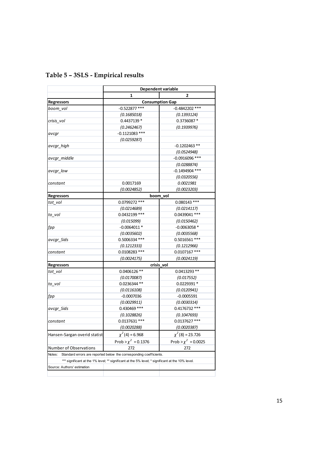|                              |                                                                                                  | Dependent variable       |
|------------------------------|--------------------------------------------------------------------------------------------------|--------------------------|
|                              | 1                                                                                                | 2                        |
| <b>Regressors</b>            |                                                                                                  | <b>Consumption Gap</b>   |
| boom_vol                     | $-0.522877$ ***                                                                                  | $-0.4842202$ ***         |
|                              | (0.1685018)                                                                                      | (0.1393124)              |
| crisis_vol                   | 0.4437139 *                                                                                      | 0.3736087 *              |
|                              | (0.2462467)                                                                                      | (0.1939976)              |
| avcgr                        | $-0.1121083$ ***                                                                                 |                          |
|                              | (0.0259287)                                                                                      |                          |
| avcgr_high                   |                                                                                                  | $-0.1202463$ **          |
|                              |                                                                                                  | (0.0524948)              |
| avcgr_middle                 |                                                                                                  | $-0.0916096$ ***         |
|                              |                                                                                                  | (0.0288874)              |
| avcgr_low                    |                                                                                                  | $-0.1494904$ ***         |
|                              |                                                                                                  | (0.0320556)              |
| constant                     | 0.0017169                                                                                        | 0.0021981                |
|                              | (0.0024852)                                                                                      | (0.0023203)              |
| <b>Regressors</b>            |                                                                                                  | boom vol                 |
| tot vol                      | 0.0799272 ***                                                                                    | $0.080143$ ***           |
|                              | (0.0214689)                                                                                      | (0.0214117)              |
| to_vol                       | 0.0432199 ***                                                                                    | 0.0439041 ***            |
|                              | (0.015099)                                                                                       | (0.0150462)              |
| fpp                          | $-0.0064011*$                                                                                    | $-0.0063058*$            |
|                              | (0.0035602)                                                                                      | (0.0035568)              |
| avcgr_Sids                   | 0.5006334 ***                                                                                    | 0.5016561 ***            |
|                              | (0.1212333)                                                                                      | (0.1212966)              |
| constant                     | $0.0108283$ ***                                                                                  | $0.0107167$ ***          |
|                              | (0.0024175)                                                                                      | (0.0024119)              |
| <b>Regressors</b>            |                                                                                                  | crisis_vol               |
| tot_vol                      | 0.0406126 **                                                                                     | 0.0413293 **             |
|                              | (0.0170087)                                                                                      | (0.017552)               |
| to_vol                       | $0.0236344**$                                                                                    | $0.0229391*$             |
|                              | (0.0116108)                                                                                      | (0.0120941)              |
| fpp                          | $-0.0007036$                                                                                     | $-0.0005591$             |
|                              | (0.0029911)                                                                                      | (0.0030314)              |
| avcgr_Sids                   | 0.430469 ***                                                                                     | 0.4176732 ***            |
|                              | (0.1028826)                                                                                      | (0.1047693)              |
| constant                     | $0.0137631$ ***                                                                                  | $0.0137627$ ***          |
|                              | (0.0020288)                                                                                      | (0.0020387)              |
| Hansen-Sargan overid statist | $\chi^2(4) = 6.968$                                                                              | $\chi^2(8) = 23.726$     |
|                              | Prob > $\chi^2$ = 0.1376                                                                         | Prob > $\chi^2$ = 0.0025 |
| Number of Observations       | 272                                                                                              | 272                      |
| Notes:                       | Standard errors are reported below the corresponding coefficients.                               |                          |
|                              | *** significant at the 1% level; ** significant at the 5% level; * significant at the 10% level. |                          |
| Source: Authors' estimation  |                                                                                                  |                          |
|                              |                                                                                                  |                          |

# **Table 5 – 3SLS - Empirical results**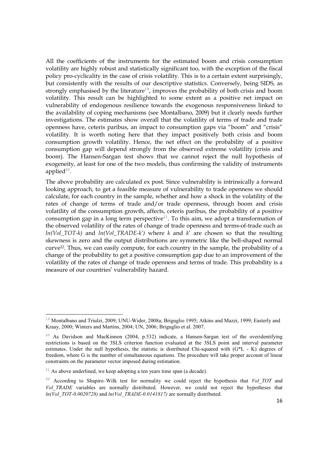All the coefficients of the instruments for the estimated boom and crisis consumption volatility are highly robust and statistically significant too, with the exception of the fiscal policy pro-cyclicality in the case of crisis volatility. This is to a certain extent surprisingly, but consistently with the results of our descriptive statistics. Conversely, being SIDS, as strongly emphasised by the literature<sup>19</sup>, improves the probability of both crisis and boom volatility. This result can be highlighted to some extent as a positive net impact on vulnerability of endogenous resilience towards the exogenous responsiveness linked to the availability of coping mechanisms (see Montalbano, 2009) but it clearly needs further investigations. The estimates show overall that the volatility of terms of trade and trade openness have, ceteris paribus, an impact to consumption gaps via "boom" and "crisis" volatility. It is worth noting here that they impact positively both crisis and boom consumption growth volatility. Hence, the net effect on the probability of a positive consumption gap will depend strongly from the observed extreme volatility (crisis and boom). The Hansen-Sargan test shows that we cannot reject the null hypothesis of exogeneity, at least for one of the two models, thus confirming the validity of instruments applied<sup>20</sup>.

The above probability are calculated ex post. Since vulnerability is intrinsically a forward looking approach, to get a feasible measure of vulnerability to trade openness we should calculate, for each country in the sample, whether and how a shock in the volatility of the rates of change of terms of trade and/or trade openness, through boom and crisis volatility of the consumption growth, affects, ceteris paribus, the probability of a positive consumption gap in a long term perspective<sup>21</sup>. To this aim, we adopt a transformation of the observed volatility of the rates of change of trade openness and terms-of-trade such as *ln(Vol\_TOT-k)* and *ln(Vol\_TRADE-k')* where *k* and *k*' are chosen so that the resulting skewness is zero and the output distributions are symmetric like the bell-shaped normal curve22. Thus, we can easily compute, for each country in the sample, the probability of a change of the probability to get a positive consumption gap due to an improvement of the volatility of the rates of change of trade openness and terms of trade. This probability is a measure of our countries' vulnerability hazard.

<sup>&</sup>lt;sup>19</sup> Montalbano and Triulzi, 2009; UNU-Wider, 2008a; Briguglio 1995; Atkins and Mazzi, 1999; Easterly and Kraay, 2000; Winters and Martins, 2004; UN, 2006; Briguglio et al. 2007.

<sup>&</sup>lt;sup>20</sup> As Davidson and MacKinnon (2004, p.532) indicate, a Hansen-Sargan test of the overidentifying restrictions is based on the 3SLS criterion function evaluated at the 3SLS point and interval parameter estimates. Under the null hypothesis, the statistic is distributed Chi-squared with (G\*L - K) degrees of freedom, where G is the number of simultaneous equations. The procedure will take proper account of linear constraints on the parameter vector imposed during estimation.

<sup>&</sup>lt;sup>21</sup> As above underlined, we keep adopting a ten years time span (a decade).

<sup>22</sup> According to Shapiro–Wilk test for normality we could reject the hypothesis that *Vol\_TOT* and *Vol\_TRADE* variables are normally distributed. However, we could not reject the hypotheses that *ln(Vol\_TOT-0.0020728)* and *ln(Vol\_TRADE-0.0141817)* are normally distributed.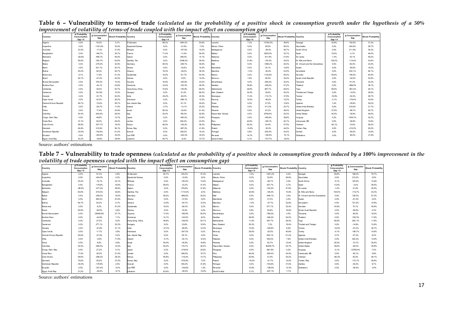| Country                  | A Probability<br>Consumption<br>Gap > 0 | <b>A Consumption</b><br>Gap | <b>Shock Probability Country</b> |                    | A Probability<br>Consumption<br>Gao > 0 | A Consumption<br>Gap | Shock Probability Country |                  | A Probability<br>Consumption<br>Gap > 0 | A Consumption<br>Gap | <b>Shock Probability Country</b> |                                | A Probability<br><b>Consumption</b><br>Gap > 0 | A Consumption<br>Gap | <b>Shock Probability</b> |
|--------------------------|-----------------------------------------|-----------------------------|----------------------------------|--------------------|-----------------------------------------|----------------------|---------------------------|------------------|-----------------------------------------|----------------------|----------------------------------|--------------------------------|------------------------------------------------|----------------------|--------------------------|
| Algeria                  | 0.0%                                    | 53.0%                       | 9.1%                             | El Salvador        | 66.0%                                   | 1944.3%              | 50.6%                     | Lesotho          | 7.3%                                    | $-15154.0%$          | 46.8%                            | Senegal                        | 43.8%                                          | 120.8%               | 31.3%                    |
| Argentina                | 0,0%                                    | $-1181.8%$                  | 33.5%                            | Equatorial Guinea  | 0.0%                                    | $-21.8%$             | 7.0%                      | Macao, China     | 0,0%                                    | 85,9%                | 56,3%                            | Seychelles                     | 0,0%                                           | 240.8%               | 28,7%                    |
| Australia                | 23.5%                                   | $-17.3%$                    | 31.5%                            | Ethiopia           | 0.0%                                    | $-157.6%$            | 19.2%                     | Madagascar       | 0,0%                                    | $-39,3%$             | 26.7%                            | South Africa                   | 0.0%                                           | 211.9%               | 36.3%                    |
| Bangladesh               | 0.4%                                    | $-186.7%$                   | 38.7%                            | France             | 71.4%                                   | $-11.6%$             | 56.4%                     | Malaw i          | 0,0%                                    | 2903.0%              | 33.7%                            | Spain                          | 19.2%                                          | 5.1%                 | 49.5%                    |
| Barbados                 | $-95.6%$                                | $-488.7%$                   | 46,5%                            | Gabon              | 0.0%                                    | 208.0%               | 14.1%                     | Malaysia         | 0,0%                                    | $-911,6%$            | 51,9%                            | Sri Lanka                      | $-1.4%$                                        | 42.1%                | 48,2%                    |
| Belgium                  | 85,6%                                   | $-350.7%$                   | 63.9%                            | Gambia, The        | 0.0%                                    | $-2306.0%$           | 36.4%                     | Maldives         | 31,8%                                   | $-132,3%$            | 34,5%                            | St. Kitts and Nevis            | 100.0%                                         | $-114.4%$            | 43.6%                    |
| Belize                   | 4 4%                                    | $-278.4%$                   | 23.9%                            | Germany            | 58.3%                                   | $-348.7%$            | 39.9%                     | Mali             | 0.0%                                    | $-1090.2%$           | 24.4%                            | St. Vincent and the Grenadines | 0.0%                                           | 82.4%                | 22.4%                    |
| Benin                    | 0,0%                                    | 521,1%                      | 25,7%                            | Ghana              | 0,0%                                    | $-33.6%$             | 19,3%                     | Mauritania       | 0,0%                                    | 50,1%                | 15,6%                            | Sudan                          | 0,0%                                           | $-80.9%$             | 18,2%                    |
| Bolivia                  | 93.4%                                   | 84,3%                       | 26.7%                            | Greece             | 18.3%                                   | $-49.2%$             | 38,3%                     | Mauritius        | $-1,0%$                                 | $-50.4%$             | 23,5%                            | Sw aziland                     | 0.0%                                           | 532.1%               | 62.1%                    |
| Botswana                 | 8.1%                                    | 11.8%                       | 51.3%                            | Guatemala          | 16.2%                                   | 131.7%               | 54.4%                     | Mexico           | 0.0%                                    | 1122,6%              | 50.0%                            | Sw eden                        | 50.6%                                          | 108.2%               | 63.9%                    |
| Brazil                   | 95.1%                                   | $-81.5%$                    | 40.3%                            | Guinea             | 0.0%                                    | 8.0%                 | 14.0%                     | Morocco          | 1.6%                                    | 66.5%                | 34.2%                            | Syrian Arab Republic           | 0.0%                                           | $-54.0%$             | 22.9%                    |
| Brunei Darussalam        | 0,0%                                    | 376.3%                      | 15.4%                            | Guyana             | 16.6%                                   | $-183.6%$            | 33,0%                     | Mozambique       | 0,0%                                    | $-820,0%$            | 22.4%                            | Tanzania                       | 0,0%                                           | 81.4%                | 34.4%                    |
| Burkina Faso             | 0.0%                                    | $-44.1%$                    | 23.6%                            | Honduras           | 16.4%                                   | $-152.3%$            | 46.5%                     | Namibia          | 39,9%                                   | $-329.2%$            | 27.2%                            | Thailand                       | 0.0%                                           | $-888.0%$            | 39.7%                    |
| Cambodia                 | 0.0%                                    | 39.4%                       | 40.7%                            | Hong Kong, China   | 75.8%                                   | $-135.9%$            | 68.2%                     | Netherlands      | 29.6%                                   | 867.7%               | 56.5%                            | Togo                           | 99.5%                                          | $-961.2%$            | 26.1%                    |
| Cameroon                 | 0,0%                                    | 181.9%                      | 15,3%                            | Hungary            | 0,0%                                    | 51.2%                | 66,2%                     | New Zealand      | 34,0%                                   | 39,9%                | 42,3%                            | Trinidad and Tobago            | 0,0%                                           | $-14.5%$             | 26,9%                    |
| Canada                   | 4.2%                                    | $-91.7%$                    | 40.4%                            | India              | $-50.2%$                                | $-82.0%$             | 20.3%                     | Nicaragua        | 11,2%                                   | $-110,1%$            | 37.9%                            | Tunisia                        | $-16.8%$                                       | $-52.3%$             | 58.7%                    |
| Cape Verde               | 0.0%                                    | 20.3%                       | 29,2%                            | Indonesia          | 0.0%                                    | $-268.1%$            | 12.5%                     | Norw av          | 10,5%                                   | $-60,2%$             | 15,2%                            | Turkey                         | $-0.1%$                                        | $-176.4%$            | 43.0%                    |
| Central African Republic | 99.7%                                   | $-75.6%$                    | 28.7%                            | Iran, Islamic Rep. | 0.0%                                    | 61.1%                | 20.0%                     | Oman             | 0.0%                                    | 57.0%                | 15.6%                            | Uganda                         | 1.4%                                           | $-55.8%$             | 26.2%                    |
| Chile                    | 0,0%                                    | $-28.7%$                    | 17.5%                            | Ireland            | $-0.7%$                                 | $-13.1%$             | 43,2%                     | Pakistan         | 0,0%                                    | 311,2%               | 23,7%                            | United Arab Emirates           | 0.0%                                           | 518.9%               | 21,7%                    |
| China                    | 0.0%                                    | 17.4%                       | 43.9%                            | Israel             | 80.3%                                   | $-32.9%$             | 51.4%                     | Panama           | 0.0%                                    | 81.2%                | 46.4%                            | <b>United Kingdom</b>          | 27.6%                                          | $-68.7%$             | 62.7%                    |
| Colombia                 | 54.4%                                   | $-642.9%$                   | 28.5%                            | Italy              | 93.4%                                   | 185.3%               | 42.8%                     | Papua New Guinea | 0.0%                                    | 6769.0%              | 25.3%                            | <b>United States</b>           | 40.5%                                          | $-55.9%$             | 48.5%                    |
| Congo, Dem Rep.          | 0,0%                                    | 48,8%                       | 12,7%                            | Japan              | 0,2%                                    | $-450.2%$            | 33,6%                     | Paraguay         | 0,0%                                    | $-449.9%$            | 38,8%                            | Uruguay                        | 4,2%                                           | 1309.7%              | 32,2%                    |
| Costa Rica               | 37.1%                                   | 62.5%                       | 49.4%                            | Jordan             | 0.0%                                    | 630.2%               | 43.5%                     | Peru             | 40,6%                                   | $-169, 1%$           | 20.1%                            | Venezuela, RB                  | 0.0%                                           | $-56.9%$             | 10.6%                    |
| Cote d'Ivoire            | 58.8%                                   | $-257.7%$                   | 19.2%                            | Kenya              | 89.3%                                   | $-126.2%$            | 38.3%                     | Philippines      | 52,2%                                   | 24.4%                | 27.5%                            | Vietnam                        | $-64.1%$                                       | 72.9%                | 59.2%                    |
| <b>Denmark</b>           | 84.8%                                   | 215.9%                      | 56.1%                            | Korea, Rep.        | 0.0%                                    | $-587.2%$            | 41.9%                     | Poland           | $-15.9%$                                | $-35.3%$             | 44.5%                            | Yemen, Rep.                    | 0.0%                                           | $-212.2%$            | 20.0%                    |
| Dominican Republic       | $-54,0%$                                | $-192.9%$                   | 61,2%                            | Kuw ait            | 0,0%                                    | 238,2%               | 15,3%                     | Portugal         | 5,8%                                    | $-632,4%$            | 43,4%                            | Zambia                         | 0,0%                                           | $-60,0%$             | 10,9%                    |
| Ecuador                  | 0.0%                                    | $-353.8%$                   | 22.0%                            | Lao PDR            | 0.0%                                    | $-232.3%$            | 22.3%                     | Rw anda          | 14.7%                                   | $-185.5%$            | 15,1%                            | Zimbabw e                      | 3.4%                                           | 90.0%                | 41.6%                    |
| Egypt, Arab Rep.         | 43.2%                                   | $-28.6%$                    | 26.8%                            | Lebanon            | 85.7%                                   | $-9.3%$              | 47.7%                     | Saudi Arabia     | 0.1%                                    | $-707.7%$            | 18,5%                            |                                |                                                |                      |                          |

**Table 6 – Vulnerability to terms-of trade** *(calculated as the probability of a positive shock in consumption growth under the hypothesis of a 50%improvement of volatility of terms-of trade coupled with the impact effect on consumption gap)*

Source: authors' estimations

|  |  |  | Table 7 – Vulnerability to trade openness (calculated as the probability of a positive shock in consumption growth induced by a 100% improvement in the |  |  |  |  |  |
|--|--|--|---------------------------------------------------------------------------------------------------------------------------------------------------------|--|--|--|--|--|
|  |  |  | volatility of trade openness coupled with the impact effect on consumption gap)                                                                         |  |  |  |  |  |

| Country                  | A Probability<br>Consumption<br>Gap > 0 | A Consumption<br>Gap | Shock Probability Country |                    | A Probability<br>Consumption<br>Gap > 0 | A Consumption<br>Gap | <b>Shock Probability Country</b> |                  | A Probability<br>Consumption<br>Gap > 0 | A Consumption<br>Gap | <b>Shock Probability Country</b> |                                | A Probability<br>Consumption<br>Gap > 0 | <b>A Consumption</b><br>Gap | <b>Shock Probability</b> |
|--------------------------|-----------------------------------------|----------------------|---------------------------|--------------------|-----------------------------------------|----------------------|----------------------------------|------------------|-----------------------------------------|----------------------|----------------------------------|--------------------------------|-----------------------------------------|-----------------------------|--------------------------|
| Algeria                  | 0.0%                                    | 91.3%                | 4.8%                      | <b>B</b> Salvador  | 64.7%                                   | 233.2%               | 37.4%                            | Lesotho          | 7,3%                                    | $-1481.4%$           | 5.2%                             | Senegal                        | 59.6%                                   | 198.4%                      | 76.7%                    |
| Argentina                | 0.0%                                    | $-424.0%$            | 0.2%                      | Equatorial Guinea  | 0.0%                                    | $-12.9%$             | 2.6%                             | Macao, China     | 0.0%                                    | 52.9%                | 26,8%                            | Seychelles                     | 0.0%                                    | 215.2%                      | 5.9%                     |
| Australia                | 23,2%                                   | $-18.1%$             | 23.1%                     | <b>Ethiopia</b>    | 0.0%                                    | $-162.4%$            | 13.2%                            | Madagascar       | 0,0%                                    | $-66.1%$             | 0,3%                             | South Africa                   | $-0.1%$                                 | 120.5%                      | 12.9%                    |
| Bangladesh               | 0.4%                                    | $-178.6%$            | 16.9%                     | France             | 69.0%                                   | $-23.2%$             | 31.0%                            | Malaw i          | 0,0%                                    | 307,7%               | 0,7%                             | Spain                          | 13.0%                                   | $-2.4%$                     | 36,5%                    |
| Barbados                 | $-96,6%$                                | $-477.4%$            | 49.8%                     | Gabon              | 0,0%                                    | 279.9%               | 31,9%                            | Malaysia         | 0,0%                                    | $-742,4%$            | 27,6%                            | Sri Lanka                      | $-1.5%$                                 | 21.0%                       | 20,5%                    |
| Belgium                  | 83.6%                                   | $-615.0%$            | 33.6%                     | Gambia. The        | 0.0%                                    | $-1110.5%$           | 2.0%                             | Maldives         | 30,9%                                   | $-128.3%$            | 15,9%                            | St. Kitts and Nevis            | 100.0%                                  | $-114.7%$                   | 43.3%                    |
| Belize                   | 4.4%                                    | $-295.5%$            | 19.5%                     | Germany            | 58.2%                                   | $-666.8%$            | 32.5%                            | Mali             | 0.0%                                    | $-848.1%$            | 3,5%                             | St. Vincent and the Grenadines | 0.0%                                    | 138.3%                      | 57.3%                    |
| Benin                    | 0.0%                                    | 390.4%               | 91.6%                     | Ghana              | 0.0%                                    | $-37.9%$             | 2.0%                             | Mauritania       | 0,0%                                    | 37.4%                | 0.4%                             | Sudan                          | 0.0%                                    | $-81.3%$                    | 2.5%                     |
| Bolivia                  | 90.7%                                   | 63.2%                | 9.1%                      | Greece             | 12.9%                                   | $-54.7%$             | 12.4%                            | Mauritius        | $-1,0%$                                 | $-47.7%$             | 32,8%                            | Sw aziland                     | 0.0%                                    | 731.5%                      | 10.8%                    |
| Botswana                 | 5,5%                                    | 6,2%                 | 61.0%                     | Guatemala          | 16,2%                                   | $-62.3%$             | 2.2%                             | Mexico           | 0,0%                                    | 977,1%               | 32,4%                            | Sw eden                        | 34.9%                                   | 70.1%                       | 40,9%                    |
| Brazil                   | 94.8%                                   | $-94.6%$             | 4.6%                      | Guinea             | 0.0%                                    | 18.3%                | 4.4%                             | Morocco          | 0,6%                                    | 50,8%                | 16,9%                            | Syrian Arab Republic           | 0.0%                                    | $-56.6%$                    | 4.3%                     |
| Brunei Darussalam        | 0.0%                                    | $-29058.9%$          | 57.7%                     | Guyana             | 17.5%                                   | $-186.9%$            | 54.5%                            | Moz ambigue      | 0,0%                                    | $-766.0%$            | 4.5%                             | Tanzania                       | 0.0%                                    | 39.2%                       | 16.0%                    |
| Burkina Faso             | 0.0%                                    | $-44.9%$             | 7.1%                      | Honduras           | 14.1%                                   | $-143.5%$            | 9.0%                             | Namibia          | 39.9%                                   | $-346.4%$            | 24.0%                            | Thailand                       | 0.0%                                    | $-752.3%$                   | 11.9%                    |
| Cambodia                 | 0,0%                                    | 27.0%                | 9.2%                      | Hong Kong, China   | 46.8%                                   | $-126.9%$            | 20.1%                            | Netherlands      | 11,0%                                   | 387.7%               | 29,4%                            | Togo                           | 99.5%                                   | $-881.1%$                   | 11,8%                    |
| Cameroon                 | 0,0%                                    | 277.1%               | 23.3%                     | Hungary            | 0.0%                                    | 33.8%                | 10.5%                            | New Zealand      | 25,2%                                   | 7.3%                 | 18,4%                            | Trinidad and Tobago            | 0.0%                                    | $-14.8%$                    | 10,9%                    |
| Canada                   | 4.2%                                    | $-91.8%$             | 41.1%                     | India              | $-47.4%$                                | $-80.9%$             | 12,3%                            | Nicaragua        | 10,5%                                   | $-106,8%$            | 6,9%                             | Tunisia                        | $-18.3%$                                | $-57.4%$                    | 30.7%                    |
| Cape Verde               | 0.0%                                    | 11.7%                | 3.8%                      | Indonesia          | 0.0%                                    | $-247.0%$            | 0.2%                             | Norw av          | 29.0%                                   | $-52.5%$             | 40.8%                            | Turkev                         | $-0.1%$                                 | $-160.7%$                   | 10.6%                    |
| Central African Republic | 50.6%                                   | $-91.5%$             | 0.2%                      | Iran, Islamic Rep. | 0.0%                                    | 55.1%                | 2.5%                             | Oman             | 0.0%                                    | 504.1%               | 51.2%                            | Uganda                         | 0.7%                                    | $-57.3%$                    | 8.2%                     |
| Chile                    | 0.0%                                    | $-0.9%$              | 71.8%                     | Ireland            | $-0.7%$                                 | $-25.1%$             | 12.5%                            | Pakistan         | 0,0%                                    | 300.5%               | 7,6%                             | United Arab Emirates           | 0.0%                                    | 542.2%                      | 14.9%                    |
| China                    | 0.0%                                    | 8.8%                 | 9.9%                      | Israel             | 64.0%                                   | $-45.9%$             | 19.6%                            | Panama           | 0.0%                                    | 62.7%                | 12,0%                            | United Kingdom                 | 26.3%                                   | $-72.7%$                    | 35.4%                    |
| Colombia                 | 54.4%                                   | $-585.5%$            | 13.3%                     | Italy              | 92.4%                                   | 118.1%               | 26.3%                            | Papua New Guinea | 0,0%                                    | 30228,7%             | 44,7%                            | <b>United States</b>           | 39.0%                                   | $-59.4%$                    | 25,8%                    |
| Congo, Dem. Rep.         | 0,0%                                    | 27.2%                | 0,1%                      | Japan              | 0.2%                                    | $-418.6%$            | 23.6%                            | Paraguay         | 0,0%                                    | $-861,9%$            | 4,2%                             | Uruguay                        | $-0.1%$                                 | 12766.4%                    | 7.0%                     |
| Costa Rica               | 17.5%                                   | 30.0%                | 21.0%                     | Jordan             | 0.0%                                    | 548.5%               | 15.7%                            | Peru             | 46.4%                                   | $-200.4%$            | 24.5%                            | Venezuela, RB                  | 0.0%                                    | $-50.1%$                    | 4.8%                     |
| Cote d'Ivoire            | 58.8%                                   | $-296.2%$            | 28.3%                     | Kenya              | 85.9%                                   | $-116.4%$            | 13.7%                            | Philippines      | 52,9%                                   | 41.8%                | 25,2%                            | Vietnam                        | $-66.3%$                                | 50.0%                       | 58.1%                    |
| Denmark                  | 70.6%                                   | 93.5%                | 27.5%                     | Korea, Rep.        | 0.0%                                    | $-475.8%$            | 7.0%                             | Poland           | $-19,3%$                                | $-41.7%$             | 14.4%                            | Yemen, Rep.                    | 0.0%                                    | $-172.1%$                   | 26.9%                    |
| Dominican Republic       | $-54.0%$                                | $-178.9%$            | 2.5%                      | Kuw ait            | 0.0%                                    | 435.2%               | 31.8%                            | Portugal         | 3,0%                                    | $-743,6%$            | 41,0%                            | Zambia                         | 0.0%                                    | $-45.4%$                    | 9.7%                     |
| Ecuador                  | 0,0%                                    | $-351.4%$            | 6.3%                      | Lao PDR            | 0.0%                                    | $-155.8%$            | 1,2%                             | Rw anda          | 15,0%                                   | $-199,5%$            | 12,3%                            | Zimbabw e                      | 0.0%                                    | $-56.4%$                    | 0.0%                     |
| Egypt, Arab Rep.         | 31.5%                                   | $-36.0%$             | 6.7%                      | Lebanon            | 63.4%                                   | $-26.2%$             | 10.0%                            | Saudi Arabia     | 0.1%                                    | $-927.1%$            | 7.7%                             |                                |                                         |                             |                          |

Source: authors' estimations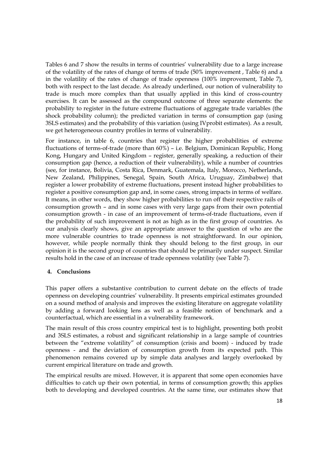Tables 6 and 7 show the results in terms of countries' vulnerability due to a large increase of the volatility of the rates of change of terms of trade (50% improvement , Table 6) and a in the volatility of the rates of change of trade openness (100% improvement, Table 7), both with respect to the last decade. As already underlined, our notion of vulnerability to trade is much more complex than that usually applied in this kind of cross-country exercises. It can be assessed as the compound outcome of three separate elements: the probability to register in the future extreme fluctuations of aggregate trade variables (the shock probability column); the predicted variation in terms of consumption gap (using 3SLS estimates) and the probability of this variation (using IVprobit estimates). As a result, we get heterogeneous country profiles in terms of vulnerability.

For instance, in table 6, countries that register the higher probabilities of extreme fluctuations of terms-of-trade (more than 60%) – i.e. Belgium, Dominican Republic, Hong Kong, Hungary and United Kingdom – register, generally speaking, a reduction of their consumption gap (hence, a reduction of their vulnerability), while a number of countries (see, for instance, Bolivia, Costa Rica, Denmark, Guatemala, Italy, Morocco, Netherlands, New Zealand, Philippines, Senegal, Spain, South Africa, Uruguay, Zimbabwe) that register a lower probability of extreme fluctuations, present instead higher probabilities to register a positive consumption gap and, in some cases, strong impacts in terms of welfare. It means, in other words, they show higher probabilities to run off their respective rails of consumption growth – and in some cases with very large gaps from their own potential consumption growth - in case of an improvement of terms-of-trade fluctuations, even if the probability of such improvement is not as high as in the first group of countries. As our analysis clearly shows, give an appropriate answer to the question of who are the more vulnerable countries to trade openness is not straightforward. In our opinion, however, while people normally think they should belong to the first group, in our opinion it is the second group of countries that should be primarily under suspect. Similar results hold in the case of an increase of trade openness volatility (see Table 7).

#### **4. Conclusions**

This paper offers a substantive contribution to current debate on the effects of trade openness on developing countries' vulnerability. It presents empirical estimates grounded on a sound method of analysis and improves the existing literature on aggregate volatility by adding a forward looking lens as well as a feasible notion of benchmark and a counterfactual, which are essential in a vulnerability framework.

The main result of this cross country empirical test is to highlight, presenting both probit and 3SLS estimates, a robust and significant relationship in a large sample of countries between the "extreme volatility" of consumption (crisis and boom) - induced by trade openness - and the deviation of consumption growth from its expected path. This phenomenon remains covered up by simple data analyses and largely overlooked by current empirical literature on trade and growth.

The empirical results are mixed. However, it is apparent that some open economies have difficulties to catch up their own potential, in terms of consumption growth; this applies both to developing and developed countries. At the same time, our estimates show that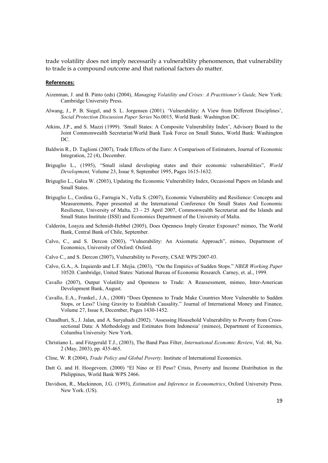trade volatility does not imply necessarily a vulnerability phenomenon, that vulnerability to trade is a compound outcome and that national factors do matter.

#### **References:**

- Aizenman, J. and B. Pinto (eds) (2004), *Managing Volatility and Crises: A Practitioner's Guide,* New York: Cambridge University Press.
- Alwang, J., P. B. Siegel, and S. L. Jorgensen (2001). 'Vulnerability: A View from Different Disciplines', *Social Protection Discussion Paper Series* No.0015, World Bank: Washington DC.
- Atkins, J.P., and S. Mazzi (1999). 'Small States: A Composite Vulnerability Index', Advisory Board to the Joint Commonwealth Secretariat/World Bank Task Force on Small States, World Bank: Washington DC.
- Baldwin R., D. Taglioni (2007), Trade Effects of the Euro: A Comparison of Estimators, Journal of Economic Integration, 22 (4), December.
- Briguglio L., (1995), "Small island developing states and their economic vulnerabilities", *World Development,* Volume 23, Issue 9, September 1995, Pages 1615-1632.
- Briguglio L., Galea W. (2003), Updating the Economic Vulnerability Index, Occasional Papers on Islands and Small States.
- Briguglio L., Cordina G., Farrugia N., Vella S. (2007), Economic Vulnerability and Resilience: Concepts and Measurements, Paper presented at the International Conference On Small States And Economic Resilience, University of Malta, 23 - 25 April 2007, Commonwealth Secretariat and the Islands and Small States Institute (ISSI) and Economics Department of the University of Malta.
- Calderòn, Loayza and Schmidt-Hebbel (2005), Does Openness Imply Greater Exposure? mimeo, The World Bank, Central Bank of Chile, September.
- Calvo, C., and S. Dercon (2003), "Vulnerability: An Axiomatic Approach", mimeo, Department of Economics, University of Oxford: Oxford.
- Calvo C., and S. Dercon (2007), Vulnerability to Poverty, CSAE WPS/2007-03.
- Calvo, G.A., A. Izquierdo and L.F. Mejía. (2003), "On the Empirics of Sudden Stops." */BER Working Paper*  10520. Cambridge, United States: National Bureau of Economic Research. Carney, et. al., 1999.
- Cavallo (2007), Output Volatility and Openness to Trade: A Reassessment, mimeo, Inter-American Development Bank, August.
- Cavallo, E.A., Frankel., J.A., (2008) "Does Openness to Trade Make Countries More Vulnerable to Sudden Stops, or Less? Using Gravity to Establish Causality." Journal of International Money and Finance, Volume 27, Issue 8, December, Pages 1430-1452.
- Chaudhuri, S., J. Jalan, and A. Suryahadi (2002). 'Assessing Household Vulnerability to Poverty from Crosssectional Data: A Methodology and Estimates from Indonesia' (mimeo), Department of Economics, Columbia University: New York.
- Christiano L. and Fitzgerald T.J., (2003), The Band Pass Filter, *International Economic Review*, Vol. 44, No. 2 (May, 2003), pp. 435-465.
- Cline, W. R (2004), *Trade Policy and Global Poverty*. Institute of International Economics.
- Datt G. and H. Hoogeveen. (2000) "El Nino or El Peso? Crisis, Poverty and Income Distribution in the Philippines, World Bank WPS 2466.
- Davidson, R., Mackinnon, J.G. (1993), *Estimation and Inference in Econometrics*, Oxford University Press. New York. (US).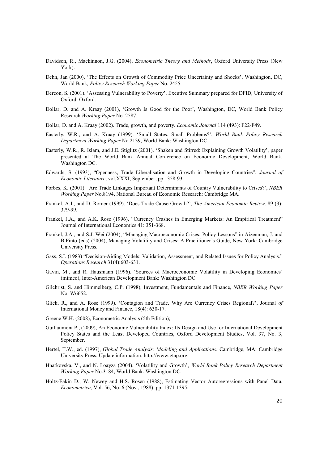- Davidson, R., Mackinnon, J.G. (2004), *Econometric Theory and Methods*, Oxford University Press (New York).
- Dehn, Jan (2000), 'The Effects on Growth of Commodity Price Uncertainty and Shocks', Washington, DC, World Bank*, Policy Research Working Paper* No. 2455.
- Dercon, S. (2001). 'Assessing Vulnerability to Poverty', Excutive Summary prepared for DFID, University of Oxford: Oxford.
- Dollar, D. and A. Kraay (2001), 'Growth Is Good for the Poor', Washington, DC, World Bank Policy Research *Working Paper* No. 2587.
- Dollar, D. and A. Kraay (2002). Trade, growth, and poverty. *Economic Journal* 114 (493): F22-F49.
- Easterly, W.R., and A. Kraay (1999). 'Small States. Small Problems?', *World Bank Policy Research Department Working Paper* No.2139, World Bank: Washington DC.
- Easterly, W.R., R. Islam, and J.E. Stiglitz (2001). 'Shaken and Stirred: Explaining Growth Volatility', paper presented at The World Bank Annual Conference on Economic Development, World Bank, Washington DC.
- Edwards, S. (1993), "Openness, Trade Liberalisation and Growth in Developing Countries", *Journal of Economic Literature*, vol.XXXI, September, pp.1358-93.
- Forbes, K. (2001). 'Are Trade Linkages Important Determinants of Country Vulnerability to Crises?', */BER Working Paper* No.8194, National Bureau of Economic Research: Cambridge MA.
- Frankel, A.J., and D. Romer (1999). 'Does Trade Cause Growth?', *The American Economic Review*. 89 (3): 379-99.
- Frankel, J.A., and A.K. Rose (1996), "Currency Crashes in Emerging Markets: An Empirical Treatment" Journal of International Economics 41: 351-368.
- Frankel, J.A., and S.J. Wei (2004), "Managing Macroeconomic Crises: Policy Lessons" in Aizenman, J. and B.Pinto (eds) (2004), Managing Volatility and Crises: A Practitioner's Guide, New York: Cambridge University Press.
- Gass, S.I. (1983) "Decision-Aiding Models: Validation, Assessment, and Related Issues for Policy Analysis." *Operations Research* 31(4):603-631.
- Gavin, M., and R. Hausmann (1996). 'Sources of Macroeconomic Volatility in Developing Economies' (mimeo), Inter-American Development Bank: Washington DC.
- Gilchrist, S. and Himmelberg, C.P. (1998), Investment, Fundamentals and Finance, */BER Working Paper* No. W6652.
- Glick, R., and A. Rose (1999). 'Contagion and Trade. Why Are Currency Crises Regional?', Journal *of*  International Money and Finance, 18(4): 630-17.
- Greene W.H. (2008), Econometric Analysis (5th Edition);
- Guillaumont P., (2009), An Economic Vulnerability Index: Its Design and Use for International Development Policy States and the Least Developed Countries, Oxford Development Studies, Vol. 37, No. 3, September.
- Hertel, T.W., ed. (1997), *Global Trade Analysis: Modeling and Applications*. Cambridge, MA: Cambridge University Press. Update information: http://www.gtap.org.
- Hnatkovska, V., and N. Loayza (2004). 'Volatility and Growth', *World Bank Policy Research Department Working Paper* No.3184, World Bank: Washington DC.
- Holtz-Eakin D., W. Newey and H.S. Rosen (1988), Estimating Vector Autoregressions with Panel Data, *Econometrica,* Vol. 56, No. 6 (Nov., 1988), pp. 1371-1395;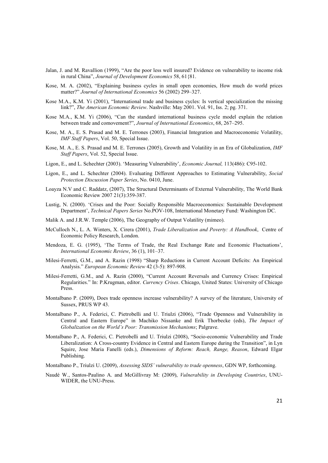- Jalan, J. and M. Ravallion (1999), "Are the poor less well insured? Evidence on vulnerability to income risk in rural China", *Journal of Development Economics* 58, 61{81.
- Kose, M. A. (2002), "Explaining business cycles in small open economies, How much do world prices matter?" *Journal of International Economics* 56 (2002) 299–327.
- Kose M.A., K.M. Yi (2001), "International trade and business cycles: Is vertical specialization the missing link?", *The American Economic Review*. Nashville: May 2001. Vol. 91, Iss. 2; pg. 371.
- Kose M.A., K.M. Yi (2006), "Can the standard international business cycle model explain the relation between trade and comovement?", *Journal of International Economics*, 68, 267–295.
- Kose, M. A., E. S. Prasad and M. E. Terrones (2003), Financial Integration and Macroeconomic Volatility, *IMF Staff Papers*, Vol. 50, Special Issue.
- Kose, M. A., E. S. Prasad and M. E. Terrones (2005), Growth and Volatility in an Era of Globalization, *IMF Staff Papers*, Vol. 52, Special Issue.
- Ligon, E., and L. Schechter (2003). 'Measuring Vulnerability', *Economic Journal,* 113(486): C95-102.
- Ligon, E., and L. Schechter (2004). Evaluating Different Approaches to Estimating Vulnerability, *Social Protection Discussion Paper Series*, No. 0410, June.
- Loayza N.V and C. Raddatz, (2007), The Structural Determinants of External Vulnerability, The World Bank Economic Review 2007 21(3):359-387.
- Lustig, N. (2000). 'Crises and the Poor: Socially Responsible Macroeconomics: Sustainable Development Department', *Technical Papers Series* No.POV-108, International Monetary Fund: Washington DC.
- Malik A. and J.R.W. Temple (2006), The Geography of Output Volatility (mimeo).
- McCulloch N., L. A. Winters, X. Cirera (2001), *Trade Liberalization and Poverty: A Handbook*, Centre of Economic Policy Research, London.
- Mendoza, E. G. (1995), 'The Terms of Trade, the Real Exchange Rate and Economic Fluctuations', *International Economic Review*, 36 (1), 101–37.
- Milesi-Ferretti, G.M., and A. Razin (1998) "Sharp Reductions in Current Account Deficits: An Empirical Analysis." *European Economic Review* 42 (3-5): 897-908.
- Milesi-Ferretti, G.M., and A. Razin (2000), "Current Account Reversals and Currency Crises: Empirical Regularities." In: P.Krugman, editor. *Currency Crises*. Chicago, United States: University of Chicago Press.
- Montalbano P. (2009), Does trade openness increase vulnerability? A survey of the literature, University of Sussex, PRUS WP 43.
- Montalbano P., A. Federici, C. Pietrobelli and U. Triulzi (2006), "Trade Openness and Vulnerability in Central and Eastern Europe" in Machiko Nissanke and Erik Thorbecke (eds), *The Impact of Globalization on the World's Poor: Transmission Mechanisms*; Palgrave.
- Montalbano P., A. Federici, C. Pietrobelli and U. Triulzi (2008), "Socio-economic Vulnerability and Trade Liberalization: A Cross-country Evidence in Central and Eastern Europe during the Transition", in Lyn Squire, Jose Maria Fanelli (eds.), *Dimensions of Reform: Reach, Range, Reason*, Edward Elgar Publishing.
- Montalbano P., Triulzi U. (2009), *Assessing SIDS' vulnerability to trade openness*, GDN WP, forthcoming.
- Naudé W., Santos-Paulino A. and McGillivray M: (2009), *Vulnerability in Developing Countries*, UNU-WIDER, the UNU-Press.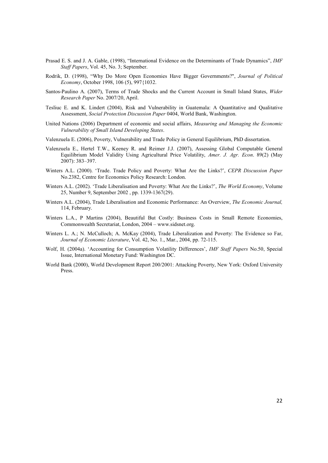- Prasad E. S. and J. A. Gable, (1998), "International Evidence on the Determinants of Trade Dynamics", *IMF Staff Papers*, Vol. 45, No. 3; September.
- Rodrik, D. (1998), "Why Do More Open Economies Have Bigger Governments?", *Journal of Political Economy*, October 1998, 106 (5), 997{1032.
- Santos-Paulino A. (2007), Terms of Trade Shocks and the Current Account in Small Island States, *Wider Research Paper* No. 2007/20, April.
- Tesliuc E. and K. Lindert (2004), Risk and Vulnerability in Guatemala: A Quantitative and Qualitative Assessment, *Social Protection Discussion Paper* 0404, World Bank, Washington.
- United Nations (2006) Department of economic and social affairs, *Measuring and Managing the Economic Vulnerability of Small Island Developing States*.
- Valenzuela E. (2006), Poverty, Vulnerability and Trade Policy in General Equilibrium, PhD dissertation.
- Valenzuela E., Hertel T.W., Keeney R. and Reimer J.J. (2007), Assessing Global Computable General Equilibrium Model Validity Using Agricultural Price Volatility, *Amer. J. Agr. Econ*. 89(2) (May 2007): 383–397.
- Winters A.L. (2000). 'Trade. Trade Policy and Poverty: What Are the Links?', *CEPR Discussion Paper* No.2382, Centre for Economics Policy Research: London.
- Winters A.L. (2002). 'Trade Liberalisation and Poverty: What Are the Links?', *The World Economy*, Volume 25, Number 9, September 2002 , pp. 1339-1367(29).
- Winters A.L. (2004), Trade Liberalisation and Economic Performance: An Overview, *The Economic Journal,* 114, February.
- Winters L.A., P Martins (2004), Beautiful But Costly: Business Costs in Small Remote Economies, Commonwealth Secretariat, London, 2004 – www.sidsnet.org.
- Winters L. A.; N. McCulloch; A. McKay (2004), Trade Liberalization and Poverty: The Evidence so Far, *Journal of Economic Literature*, Vol. 42, No. 1., Mar., 2004, pp. 72-115.
- Wolf, H. (2004a). 'Accounting for Consumption Volatility Differences', *IMF Staff Papers* No.50, Special Issue, International Monetary Fund: Washington DC.
- World Bank (2000), World Development Report 200/2001: Attacking Poverty, New York: Oxford University Press.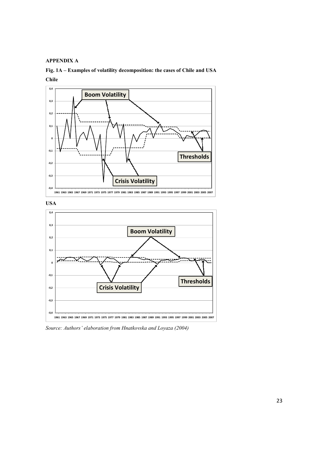#### **APPEDIX A**

**Fig. 1A – Examples of volatility decomposition: the cases of Chile and USA Chile** 





**USA** 

*Source: Authors' elaboration from Hnatkovska and Loyaza (2004)*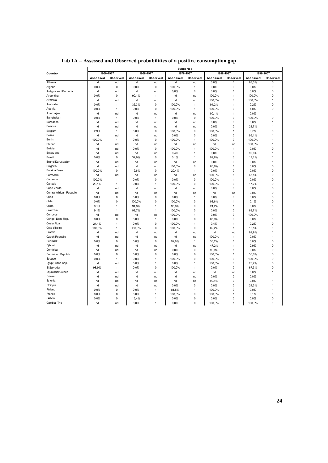|                          |          |                |           |              | Subperiod |                            |           |              |           |          |
|--------------------------|----------|----------------|-----------|--------------|-----------|----------------------------|-----------|--------------|-----------|----------|
| Country                  |          | 1960-1967      | 1968-1977 |              | 1978-1987 |                            | 1988-1997 |              | 1998-2007 |          |
|                          | Assessed | Observed       | Assessed  | Observed     | Assessed  | Observed                   | Assessed  | Observed     | Assessed  | Observed |
| Albania                  | nd       | nd             | nd        | nd           | nd        | nd                         | 0,0%      | 1            | 93,3%     | 0        |
| Algeria                  | 0,0%     | $\mathbf 0$    | 0,0%      | $\mathbf 0$  | 100,0%    | $\mathbf{1}$               | 0.0%      | $\mathbf 0$  | 0,0%      | 0        |
| Antigua and Barbuda      | nd       | nd             | nd        | nd           | 0,0%      | $\mathbf 0$                | 0.0%      | 1            | 0,0%      | 0        |
| Argentina                | 0,0%     | $\mathbf 0$    | 99.1%     | $\mathbf{1}$ | nd        | nd                         | 100,0%    | $\mathbf{1}$ | 100,0%    | 0        |
| Armenia                  | nd       | nd             | nd        | nd           | nd        | nd                         | 100,0%    | 0            | 100,0%    | 1        |
| Australia                | 0,0%     | $\mathbf{1}$   | 35,3%     | $\mathbf 0$  | 100,0%    | $\mathbf{1}$               | 94,2%     | $\mathbf{1}$ | 0,2%      | 0        |
| Austria                  | 0.0%     | 1              | 0,0%      | $\mathbf 0$  | 100,0%    | $\mathbf{1}$               | 100,0%    | 0            | 1,0%      | 0        |
| Azerbaijan               | nd       | nd             | nd        | nd           | nd        | nd                         | 90,1%     | $\mathbf{1}$ | 0,0%      | 1        |
| Bangladesh               | 0,0%     | $\mathbf{1}$   | 0,0%      | $\mathbf{1}$ | 0.0%      | $\mathbf 0$                | 100,0%    | 0            | 100,0%    | 0        |
| Barbados                 | nd       | nd             | nd        | nd           | nd        | nd                         | 0,0%      | $\mathbf 0$  | 0,8%      | 1        |
| Belarus                  | nd       | nd             | nd        | nd           | nd        | nd                         | 0.0%      | 0            | 23,7%     | 1        |
| Belgium                  | 2,9%     | $\mathbf{1}$   | 0,0%      | $\mathsf 0$  | 100,0%    | $\mathbf 0$                | 100,0%    | $\mathbf{1}$ | 0,7%      | 0        |
| Belize                   | nd       | nd             | nd        | nd           | 0,0%      | 0                          | 0,0%      | $\mathbf 0$  | 99,1%     | 1        |
| Benin                    | 100,0%   | $\mathbf{1}$   | 0,0%      | $\pmb{0}$    | 100,0%    | $\mathbf{1}$               | 100,0%    | $\mathbf 0$  | 100,0%    | 1        |
| Bhutan                   | nd       | nd             | nd        | nd           | nd        | nd                         | nd        | nd           | 100,0%    | 1        |
| Bolivia                  | nd       | nd             | 0,0%      | $\mathbf 0$  | 100,0%    | $\mathbf{1}$               | 100,0%    | $\mathbf{1}$ | 9,0%      | 0        |
| Botsw ana                | nd       | nd             | nd        | nd           | 0,4%      | $\mathbf{1}$               | 0,0%      | $\mathbf 0$  | 99,6%     | 1        |
| Brazil                   | 0,0%     | $\pmb{0}$      | 32,9%     | $\pmb{0}$    | 0,1%      | $\mathbf{1}$               | 99,8%     | 0            | 17,1%     | 1        |
| Brunei Darussalam        | nd       | nd             | nd        | nd           | nd        | nd                         | 0.0%      | 0            | 0,0%      | 1        |
| Bulgaria                 | nd       | nd             | nd        | nd           | 100,0%    | $\mathbf 0$                | 88,0%     | 1            | 0,0%      | 0        |
| Burkina Faso             | 100,0%   | $\pmb{0}$      | 12,6%     | $\mathsf 0$  | 29,4%     | $\mathbf{1}$               | 0,0%      | $\mathbf 0$  | 0,0%      | 0        |
| Cambodia                 | nd       | nd             | nd        | nd           | nd        | nd                         | 100,0%    | $\mathbf{1}$ | 65,5%     | Ó        |
| Cameroon                 | 100,0%   | $\mathbf{1}$   | 0,0%      | 0            | 0,0%      | $\mathbf 0$                | 100,0%    | $\mathbf{1}$ | 0,0%      | 0        |
| Canada                   | 23,1%    | $\mathbf{1}$   | 0,0%      | $\mathbf{1}$ | 100,0%    | $\mathbf 0$                | 100,0%    | $\mathbf 0$  | 17,7%     | 0        |
| Cape Verde               | nd       | nd             | nd        | nd           | nd        | nd                         | 0,0%      | 0            | 0,0%      | 0        |
| Central African Republic | nd       | nd             | nd        | nd           | nd        | nd                         | nd        | nd           | 0,0%      | 0        |
| Chad                     | 0.0%     | 0              | 0,0%      | $\mathsf 0$  | 0.0%      | $\mathbf{1}$               | 0.0%      | $\mathbf 0$  | 0,0%      | 0        |
| Chile                    | 0.0%     | 0              | 100,0%    | 0            | 100,0%    | $\mathbf 0$                | 98,6%     | 1            | 0.1%      | 0        |
| China                    | 0,1%     | $\overline{1}$ | 94,8%     | 1            | 95,6%     | $\mathbf 0$                | 24,2%     | $\mathbf{1}$ | 0,0%      | 0        |
| Colombia                 | 9,1%     | $\mathbf{1}$   | 98,7%     | $\mathbf{1}$ | 100,0%    | 0                          | 0.0%      | $\mathbf 0$  | 63,7%     | 1        |
| Compros                  | nd       | nd             | nd        | nd           | 100,0%    | $\mathbf{1}$               | 0.0%      | $\mathbf 0$  | 100,0%    | 1        |
| Congo, Dem. Rep.         | 0.0%     | $\mathbf 0$    | 0,0%      | $\mathbf{1}$ | 0.0%      | $\mathbf 0$                | 85,3%     | $\mathbf 0$  | 0,0%      | 0        |
| Costa Rica               | 24,1%    | 1              | 0,0%      | $\mathsf 0$  | 100,0%    | $\mathbf{1}$               | 0,4%      | 1            | 0,2%      | 0        |
| Cote d'Ivoire            | 100,0%   | 1              | 100,0%    | $\mathsf 0$  | 100,0%    | $\mathbf 0$                | 82,2%     | 1            | 18,5%     | 0        |
| Croatia                  | nd       | nd             | nd        | nd           | nd        | nd                         | nd        | nd           | 99,9%     | 1        |
| Czech Republic           | nd       | nd             | nd        | nd           | nd        | nd                         | 100,0%    | 1            | 0,0%      | 1        |
| Denmark                  | 0,0%     | 0              | 0,0%      | $\pmb{0}$    | 99,8%     | $\mathbf{1}$               | 53,2%     | $\mathbf{1}$ | 0,0%      | 0        |
| Djibouti                 | nd       |                | nd        |              |           |                            | 47,2%     | 1            | 2,9%      | 0        |
| Dominica                 |          | nd             |           | nd<br>nd     | nd        | nd                         |           | $\mathbf{1}$ |           | 0        |
| Dominican Republic       | nd       | nd             | nd        | $\mathbf 0$  | 0,0%      | $\mathbf 0$<br>$\mathbf 0$ | 99,9%     |              | 0,0%      | 0        |
|                          | 0,0%     | 0              | 0,0%      |              | 0.0%      |                            | 100,0%    | 1            | 50,6%     |          |
| Ecuador                  | 0.0%     | $\mathbf{1}$   | 0,0%      | $\mathbf{1}$ | 100,0%    | $\mathbf 0$                | 100,0%    | $\mathbf 0$  | 100,0%    | Ó        |
| Egypt, Arab Rep.         | nd       | nd             | 0,0%      | $\mathbf{1}$ | 0,0%      | $\mathbf{1}$               | 100,0%    | $\mathbf{0}$ | 28,2%     | 0        |
| <b>E</b> Salvador        | 98,9%    | $\mathbf{1}$   | 0,0%      | $\mathbf 0$  | 100,0%    | $\mathbf{1}$               | 0.0%      | $\mathbf 0$  | 67,3%     | 0        |
| <b>Equatorial Guinea</b> | nd       | nd             | nd        | nd           | nd        | nd                         | nd        | nd           | 0,0%      | 1        |
| Eritrea                  | nd       | nd             | nd        | nd           | nd        | nd                         | 0.0%      | 0            | 0,0%      | 1        |
| Estonia                  | nd       | nd             | nd        | nd           | nd        | nd                         | 99,4%     | 0            | 0,0%      | 1        |
| Ethiopia                 | nd       | nd             | nd        | nd           | 0,0%      | $\mathbf 0$                | 0,0%      | 0            | 24,3%     | 1        |
| Finland                  | 0,0%     | 0              | 0,0%      | $\mathbf{1}$ | 81,8%     | 1                          | 100,0%    | 0            | 0,0%      | 1        |
| France                   | 0,0%     | 0              | 0,0%      | $\mathbf{1}$ | 100,0%    | $\mathbf 0$                | 100,0%    | 1            | 0,1%      | $\Omega$ |
| Gabon                    | 0,0%     | 0              | 15,4%     | 1            | 0,0%      | 0                          | 0.0%      | $\mathbf 0$  | 0,0%      | 0        |
| Gambia, The              | nd       | nd             | 0,0%      | $\mathbf{1}$ | 0,0%      | 0                          | 100,0%    | $\mathbf{1}$ | 100,0%    | 0        |

**Tab 1A – Assessed and Observed probabilities of a positive consumption gap**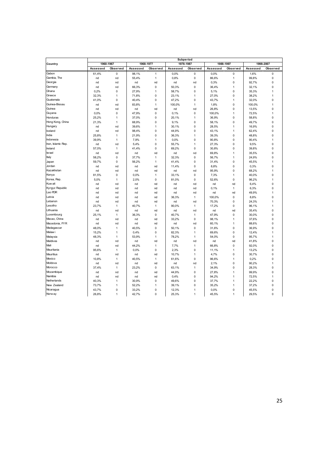|                    | Subperiod |              |          |              |           |              |           |                |           |             |
|--------------------|-----------|--------------|----------|--------------|-----------|--------------|-----------|----------------|-----------|-------------|
| Country            | 1960-1967 |              |          | 1968-1977    | 1978-1987 |              | 1988-1997 |                | 1998-2007 |             |
|                    | Assessed  | Observed     | Assessed | Observed     | Assessed  | Observed     | Assessed  | Observed       | Assessed  | Observed    |
| Gabon              | 61,4%     | 0            | 98,1%    | $\mathbf{1}$ | 0.0%      | 0            | 0,0%      | 0              | 1,6%      | 0           |
| Gambia, The        | nd        | nd           | 55,4%    | 1            | 0,8%      | 0            | 86,6%     | 1              | 99,8%     | $\pmb{0}$   |
| Georgia            | nd        | nd           | nd       | nd           | nd        | nd           | 0,3%      | 0              | 92,7%     | 0           |
| Germany            | nd        | nd           | 66,3%    | 0            | 50,3%     | $\mathbf 0$  | 36,4%     | 1              | 32,1%     | 0           |
| Ghana              | 0,2%      | 0            | 27,9%    | 1            | 58,7%     | $\mathbf 0$  | 5,1%      | Ó              | 35,3%     | 1           |
| Greece             | 32,3%     | $\mathbf{1}$ | 71,8%    | 0            | 23,1%     | $\mathbf{1}$ | 27,0%     | 0              | 38,2%     | 1           |
| Guatemala          | 41,0%     | $\mathbf 0$  | 40,4%    | $\mathbf 0$  | 47,2%     | $\mathbf 0$  | 43,7%     | 1              | 32,0%     | 0           |
| Guinea-Bissau      | nd        | nd           | 83,8%    | $\mathbf{1}$ | 100,0%    | $\mathbf{1}$ | 1,8%      | 0              | 100,0%    | 1           |
| Guinea             | nd        | nd           | nd       | nd           | nd        | nd           | 26,8%     | 0              | 13,5%     | 0           |
| Guyana             | 0.0%      | $\mathbf 0$  | 47,9%    | 0            | 0,1%      | $\mathbf 0$  | 100,0%    | 1              | 72,5%     | 1           |
| Honduras           | 25,2%     | 1            | 37,0%    | 0            | 20,1%     | 1            | 36,9%     | 0              | 58,8%     | $\mathbf 0$ |
| Hong Kong, China   | 21,3%     | 1            | 68,9%    | 0            | 9,1%      | $\mathbf 0$  | 58,1%     | 0              | 49,7%     | $\mathbf 0$ |
| Hungary            | nd        | nd           | 39,6%    | $\mathbf{1}$ | 30,1%     | 0            | 28,5%     | 1              | 16,9%     | 0           |
| Iceland            | nd        | nd           | 98,4%    | $\mathbf 0$  | 44,9%     | $\mathbf 0$  | 43,1%     | 1              | 62,4%     | $\mathbf 0$ |
| India              | 25,8%     | 1            | 21,9%    | 0            | 36,3%     | $\mathbf{1}$ | 39,3%     | 0              | 48,8%     | $\mathbf 0$ |
| Indonesia          | 39,9%     | 1            | 7,9%     | $\mathbf{1}$ | 0.0%      | 0            | 90,8%     | 0              | 90,4%     | 1           |
| Iran, Islamic Rep. | nd        | nd           | 5,4%     | 0            | 55,7%     | $\mathbf{1}$ | 27,3%     | 0              | 9,5%      | $\mathbf 0$ |
| Ireland            | 57,0%     | 1            | 41,4%    | 0            | 69,2%     | 0            | 30,8%     | 0              | 39,8%     | 0           |
| Israel             | nd        | nd           | nd       | nd           | nd        | nd           | 69,8%     | 1              | 35,5%     | $\Omega$    |
| Italy              | 58,2%     | 0            | 37,7%    | $\mathbf{1}$ | 32,3%     | 0            | 56,7%     | 1              | 24,9%     | 0           |
| Japan              | 59,7%     | $\mathbf 0$  | 56,2%    | $\mathbf{1}$ | 41,4%     | 0            | 31,4%     | 0              | 45,5%     | 1           |
| Jordan             | nd        | nd           | nd       | nd           | 11,4%     | 0            | 8,8%      | 0              | 0,3%      | 0           |
| Kazakhstan         | nd        | nd           | nd       | nd           | nd        | nd           | 95,9%     | 0              | 68,2%     | 1           |
| Kenya              | 81,5%     | $\mathbf 0$  | 0.0%     | 1            | 33,1%     | $\pmb{0}$    | 7,3%      | $\overline{1}$ | 40,0%     | $\mathbf 0$ |
| Korea, Rep.        | 5,0%      | 1            | 2,0%     | 0            | 81,0%     | 0            | 52,6%     | 0              | 96,2%     | 1           |
| Kuw ait            | nd        | nd           | nd       | nd           | nd        | nd           | nd        | nd             | 6,4%      | $\Omega$    |
| Kyrgyz Republic    | nd        | nd           | nd       | nd           | nd        | nd           | 0,1%      | 1              | 6,3%      | 0           |
| Lao PDR            | nd        | nd           | nd       | nd           | nd        | nd           | nd        | nd             | 49,9%     | 1           |
| Latvia             | nd        | nd           | nd       | nd           | 36,3%     | $\mathbf{1}$ | 100,0%    | 0              | 8,8%      | $\Omega$    |
| Lebanon            | nd        | nd           | nd       | nd           | nd        | nd           | 70,3%     | 0              | 24,3%     | 1           |
| Lesotho            | 23,7%     | $\mathbf{1}$ | 40,7%    | $\mathbf{1}$ | 90,0%     | $\mathbf{1}$ | 17,2%     | 0              | 96,1%     | 1           |
| Lithuania          | nd        | nd           | nd       | nd           | nd        | nd           | nd        | nd             | 35,4%     | $\mathbf 0$ |
| Luxembourg         | 25,1%     | 1            | 36,3%    | 0            | 40,7%     | $\mathbf{1}$ | 47,9%     | 0              | 30,0%     | 0           |
| Macao, China       | nd        | nd           | nd       | nd           | 33,2%     | $\mathbf 0$  | 98,1%     | 1              | 37,6%     | 0           |
| Macedonia, FYR     | nd        | nd           | nd       | nd           | nd        | nd           | 60,1%     | 1              | 88,6%     | $\mathbf 0$ |
| Madagascar         | 48,0%     | 1            | 40,5%    | 0            | 50,1%     | $\mathbf 0$  | 31,6%     | 0              | 36,9%     | 0           |
| Malaw i            | 15,2%     | 1            | 0,4%     | 0            | 82,3%     | 1            | 69,6%     | 0              | 12,4%     | 1           |
| Malaysia           | 48,3%     | 1            | 53,9%    | $\mathbf{1}$ | 78,2%     | $\mathbf{1}$ | 54,0%     | Ó              | 95,7%     | 1           |
| Maldives           | nd        | nd           | nd       | nd           | nd        | nd           | nd        | nd             | 41,8%     | $\mathbf 0$ |
| Mali               | nd        | nd           | 44,2%    | 1            | 7,7%      | $\mathbf{1}$ | 66,8%     | 0              | 92,0%     | 0           |
| Mauritania         | 95,6%     | $\mathbf{1}$ | 0,0%     | 0            | 2,3%      | $\mathbf 0$  | 11,1%     | 1              | 13,2%     | $\Omega$    |
| Mauritius          | nd        | nd           | nd       | nd           | 10,7%     | $\mathbf{1}$ | 4,7%      | 0              | 30,7%     | 0           |
| Mexico             | 10.8%     | $\mathbf{1}$ | 40.5%    | $\mathbf{1}$ | 61,6%     | $\mathbf 0$  | 96,6%     | 1              | 0,2%      | $\Omega$    |
| Moldova            | nd        | nd           | nd       | nd           | nd        | nd           | 2,1%      | 0              | 90,2%     | 1           |
| Morocco            | 37,4%     | $\mathbf{1}$ | 23,2%    | 0            | 63,1%     | $\mathbf{1}$ | 34,9%     | 0              | 28,3%     | 0           |
| Mozambique         | nd        | nd           | nd       | nd           | 44,9%     | 0            | 27,8%     | 1              | 99,9%     | $\mathbf 0$ |
| Namibia            | nd        | nd           | nd       | nd           | 0.4%      | 0            | 94,2%     | 1              | 72,5%     | 1           |
| Netherlands        | 40,3%     | $\mathbf{1}$ | 30,9%    | 0            | 49,6%     | $\mathbf 0$  | 37,7%     | 1              | 22,2%     | $\mathbf 0$ |
| New Zealand        | 73,7%     | 1            | 52,2%    | 1            | 39,1%     | 0            | 35,2%     | 1              | 37,2%     | 0           |
| Nicaragua          | 43,7%     | 0            | 33,2%    | 0            | 12,3%     | $\mathbf{1}$ | 0.0%      | $\mathbf 0$    | 45,5%     | $\mathbf 0$ |
| Norw ay            | 26,8%     | 1            | 42,7%    | 0            | 25,3%     | 1            | 45,5%     | 1              | 29,5%     | 0           |
|                    |           |              |          |              |           |              |           |                |           |             |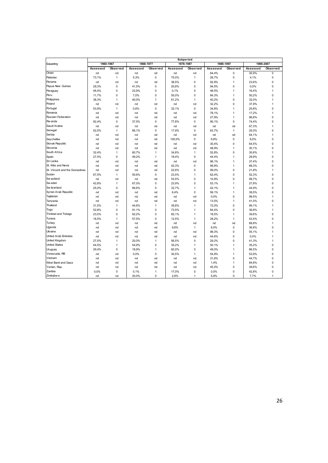|                                |          | <b>Subperiod</b> |          |                |           |                 |           |              |          |                 |
|--------------------------------|----------|------------------|----------|----------------|-----------|-----------------|-----------|--------------|----------|-----------------|
| Country                        |          | 1960-1967        |          | 1968-1977      | 1978-1987 |                 | 1988-1997 |              |          | 1998-2007       |
|                                | Assessed | <b>Observed</b>  | Assessed | Observed       | Assessed  | <b>Observed</b> | Assessed  | Observed     | Assessed | <b>Observed</b> |
| Oman                           | nd       | nd               | nd       | nd             | nd        | nd              | 64.4%     | $\Omega$     | 30.9%    | $\Omega$        |
| Pakistan                       | 73,1%    | $\mathbf{1}$     | 5,3%     | $\mathbf 0$    | 75,0%     | $\mathbf{1}$    | 26,7%     | 0            | 4,1%     | 0               |
| Panama                         | nd       | nd               | nd       | nd             | 38,5%     | 0               | 92,9%     | 1            | 23,6%    | $\Omega$        |
| Papua New Guinea               | 29,3%    | 0                | 41,5%    | $\mathbf 0$    | 20,8%     | 0               | 94,5%     | 0            | 0.0%     | 0               |
| Paraguay                       | 46.4%    | $\Omega$         | 23.9%    | $\mathbf 0$    | 0.1%      | 0               | 48,5%     | $\mathbf{1}$ | 16,4%    | 1               |
| Peru                           | 11,7%    | 0                | 7,0%     | $\mathbf 0$    | 55,0%     | 0               | 84,3%     | $\mathbf{1}$ | 50,2%    | 0               |
| Philippines                    | 38,3%    | $\mathbf{1}$     | 40.0%    | $\overline{1}$ | 61,2%     | $\mathbf{1}$    | 40,2%     | $\Omega$     | 32,0%    | 1               |
| Poland                         | nd       | nd               | nd       | nd             | nd        | nd              | 32,2%     | 0            | 37,9%    | 1               |
| Portugal                       | 53.9%    | $\mathbf{1}$     | 0.6%     | $\Omega$       | 32,1%     | $\Omega$        | 34,8%     | 1            | 25,8%    | $\Omega$        |
| Romania                        | nd       | nd               | nd       | nd             | nd        | nd              | 78,1%     | $\mathbf{1}$ | 17,2%    | 1               |
| <b>Russian Federation</b>      | nd       | nd               | nd       | nd             | nd        | nd              | 27,9%     | 1            | 96,8%    | $\Omega$        |
| Rw anda                        | 92,4%    | $\mathbf 0$      | 37,5%    | $\mathbf 0$    | 77,8%     | $\mathbf 0$     | 90,1%     | 0            | 74,4%    | $\overline{0}$  |
| Saudi Arabia                   | nd       | nd               | nd       | nd             | nd        | nd              | nd        | nd           | 67,3%    | 1               |
| Senegal                        | 52,0%    | $\mathbf{1}$     | 66,1%    | $\mathbf 0$    | 17,9%     | $\mathbf 0$     | 63,7%     | $\mathbf{1}$ | 25,0%    | $\overline{0}$  |
| Serbia                         | nd       | nd               | nd       | nd             | nd        | nd              | nd        | nd           | 64,1%    | $\mathbf{1}$    |
| Seychelles                     | nd       | nd               | nd       | nd             | 100,0%    | $\mathbf 0$     | 6,8%      | $\mathbf 0$  | 8,0%     | $\overline{0}$  |
| Slovak Republic                | nd       | nd               | nd       | nd             | nd        | nd              | 30.4%     | $\Omega$     | 64,5%    | $\Omega$        |
| Slovenia                       | nd       | nd               | nd       | nd             | nd        | nd              | 48,9%     | 1            | 30,1%    | $\overline{0}$  |
| South Africa                   | 32,4%    | $\mathbf{1}$     | 60.7%    | $\overline{1}$ | 34,8%     | $\mathbf{1}$    | 52,8%     | 0            | 35,6%    | 1               |
| Spain                          | 27,5%    | $\mathbf 0$      | 49,2%    | $\overline{1}$ | 18,4%     | $\mathbf 0$     | 44,4%     | 1            | 29,9%    | $\overline{0}$  |
| Sri Lanka                      | nd       | nd               | nd       | nd             | nd        | nd              | 96,1%     | 1            | 37,4%    | 0               |
| St. Kitts and Nevis            | nd       | nd               | nd       | nd             | 42,3%     | $\mathbf 0$     | 99,9%     | 1            | 68,3%    | 0               |
| St. Vincent and the Grenadines | nd       | nd               | nd       | nd             | 22.6%     | 0               | 99,0%     | 0            | 21,8%    | 1               |
| Sudan                          | 67,5%    | $\mathbf{1}$     | 50,6%    | $\mathbf 0$    | 23,5%     | $\mathbf{1}$    | 62,4%     | 0            | 52,3%    | $\Omega$        |
| Sw aziland                     | nd       | nd               | nd       | nd             | 53,5%     | 0               | 10,9%     | 0            | 99,7%    | $\Omega$        |
| Sw eden                        | 42,8%    | $\mathbf{1}$     | 67,0%    | $\mathbf 0$    | 23,9%     | $\mathbf 0$     | 53,1%     | 1            | 27,8%    | $\overline{0}$  |
| Sw itzerland                   | 25,0%    | $\mathbf 0$      | 66,6%    | $\mathbf 0$    | 32,7%     | 1               | 42,1%     | 1            | 44,9%    | $\Omega$        |
| Syrian Arab Republic           | nd       | nd               | nd       | nd             | 6,4%      | $\mathbf 0$     | 56,1%     | 1            | 39,5%    | $\Omega$        |
| Tajikistan                     | nd       | nd               | nd       | nd             | nd        | nd              | 0.0%      | 0            | 99,5%    | 1               |
| Tanzania                       | nd       | nd               | nd       | nd             | nd        | nd              | 13,5%     | 1            | 41,0%    | $\Omega$        |
| Thailand                       | 31,5%    | $\mathbf{1}$     | 44,6%    | $\mathbf{1}$   | 39,8%     | $\mathbf{1}$    | 72,0%     | 0            | 99,1%    | 1               |
| Togo                           | 52,8%    | $\Omega$         | 91,1%    | $\mathbf 0$    | 73.5%     | $\mathbf{1}$    | 84,4%     | $\Omega$     | 36,8%    | 1               |
| Trinidad and Tobago            | 23,0%    | 0                | 62,2%    | $\mathbf 0$    | 82,1%     | $\mathbf{1}$    | 18,5%     | 1            | 39,6%    | $\Omega$        |
| Tunisia                        | 16,5%    | $\mathbf{1}$     | 57.5%    | $\mathbf 0$    | 12.5%     | $\mathbf{1}$    | 28,2%     | 1            | 43,4%    | $\Omega$        |
| Turkey                         | nd       | nd               | nd       | nd             | nd        | nd              | nd        | nd           | 68,8%    | 1               |
| Uganda                         | nd       | nd               | nd       | nd             | 9.6%      | $\mathbf{1}$    | 8.0%      | $\Omega$     | 36,8%    | Ó               |
| Ukraine                        | nd       | nd               | nd       | nd             | nd        | nd              | 98,3%     | 0            | 55,1%    | 1               |
| <b>United Arab Emirates</b>    | nd       | nd               | nd       | nd             | nd        | nd              | 44,6%     | $\Omega$     | 0.0%     | 1               |
| United Kingdom                 | 27,5%    | $\mathbf{1}$     | 20,0%    | $\overline{1}$ | 56,5%     | 0               | 29,2%     | 0            | 41,3%    | 1               |
| <b>United States</b>           | 44,5%    | 1                | 54,9%    | $\mathbf 0$    | 35,2%     | $\mathbf{1}$    | 50,1%     | 1            | 35,2%    | $\Omega$        |
| Uruguay                        | 29,4%    | 0                | 18,9%    | $\overline{1}$ | 82,0%     | 0               | 49,0%     | 1            | 86,5%    | $\overline{0}$  |
| Venezuela, RB                  | nd       | nd               | 0.0%     | $\mathbf 0$    | 30,5%     | $\mathbf{1}$    | 54,8%     | 1            | 53,9%    | 0               |
| Vietnam                        | nd       | nd               | nd       | nd             | nd        | nd              | 31,6%     | 0            | 44,7%    | $\overline{0}$  |
| West Bank and Gaza             | nd       | nd               | nd       | nd             | nd        | nd              | 1,4%      | 1            | 84,8%    | 0               |
| Yemen, Rep.                    | nd       | nd               | nd       | nd             | nd        | nd              | 45,5%     | 0            | 39,6%    | $\overline{0}$  |
| Zambia                         | 0.0%     | $\mathbf 0$      | 0.1%     | $\overline{1}$ | 17.0%     | $\Omega$        | 0.0%      | $\Omega$     | 42,8%    | $\Omega$        |
| Zimbabw e                      | nd       | nd               | 20,0%    | $\mathbf 0$    | 2.6%      | $\overline{1}$  | 5,9%      | $\Omega$     | 7,7%     | 1               |